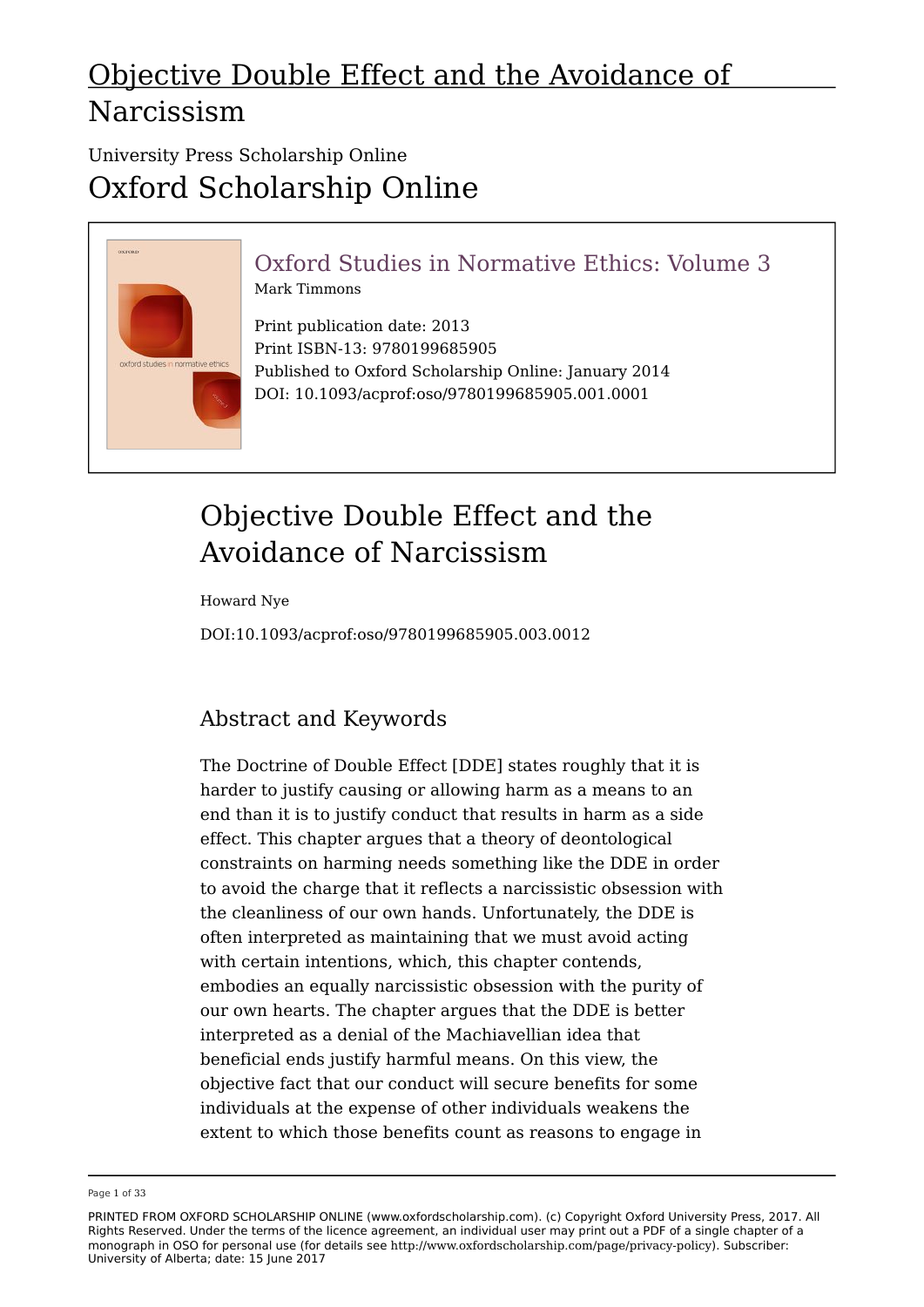## Objective Double Effect and the Avoidance of Narcissism

#### University Press Scholarship Online Oxford Scholarship Online



Oxford Studies in Normative Ethics: Volume 3 Mark Timmons

Print publication date: 2013 Print ISBN-13: 9780199685905 Published to Oxford Scholarship Online: January 2014 DOI: 10.1093/acprof:oso/9780199685905.001.0001

#### Objective Double Effect and the Avoidance of Narcissism

Howard Nye

DOI:10.1093/acprof:oso/9780199685905.003.0012

#### Abstract and Keywords

The Doctrine of Double Effect [DDE] states roughly that it is harder to justify causing or allowing harm as a means to an end than it is to justify conduct that results in harm as a side effect. This chapter argues that a theory of deontological constraints on harming needs something like the DDE in order to avoid the charge that it reflects a narcissistic obsession with the cleanliness of our own hands. Unfortunately, the DDE is often interpreted as maintaining that we must avoid acting with certain intentions, which, this chapter contends, embodies an equally narcissistic obsession with the purity of our own hearts. The chapter argues that the DDE is better interpreted as a denial of the Machiavellian idea that beneficial ends justify harmful means. On this view, the objective fact that our conduct will secure benefits for some individuals at the expense of other individuals weakens the extent to which those benefits count as reasons to engage in

Page 1 of 33

PRINTED FROM OXFORD SCHOLARSHIP ONLINE (www.oxfordscholarship.com). (c) Copyright Oxford University Press, 2017. All Rights Reserved. Under the terms of the licence agreement, an individual user may print out a PDF of a single chapter of a monograph in OSO for personal use (for details see http://www.oxfordscholarship.com/page/privacy-policy). Subscriber: University of Alberta; date: 15 June 2017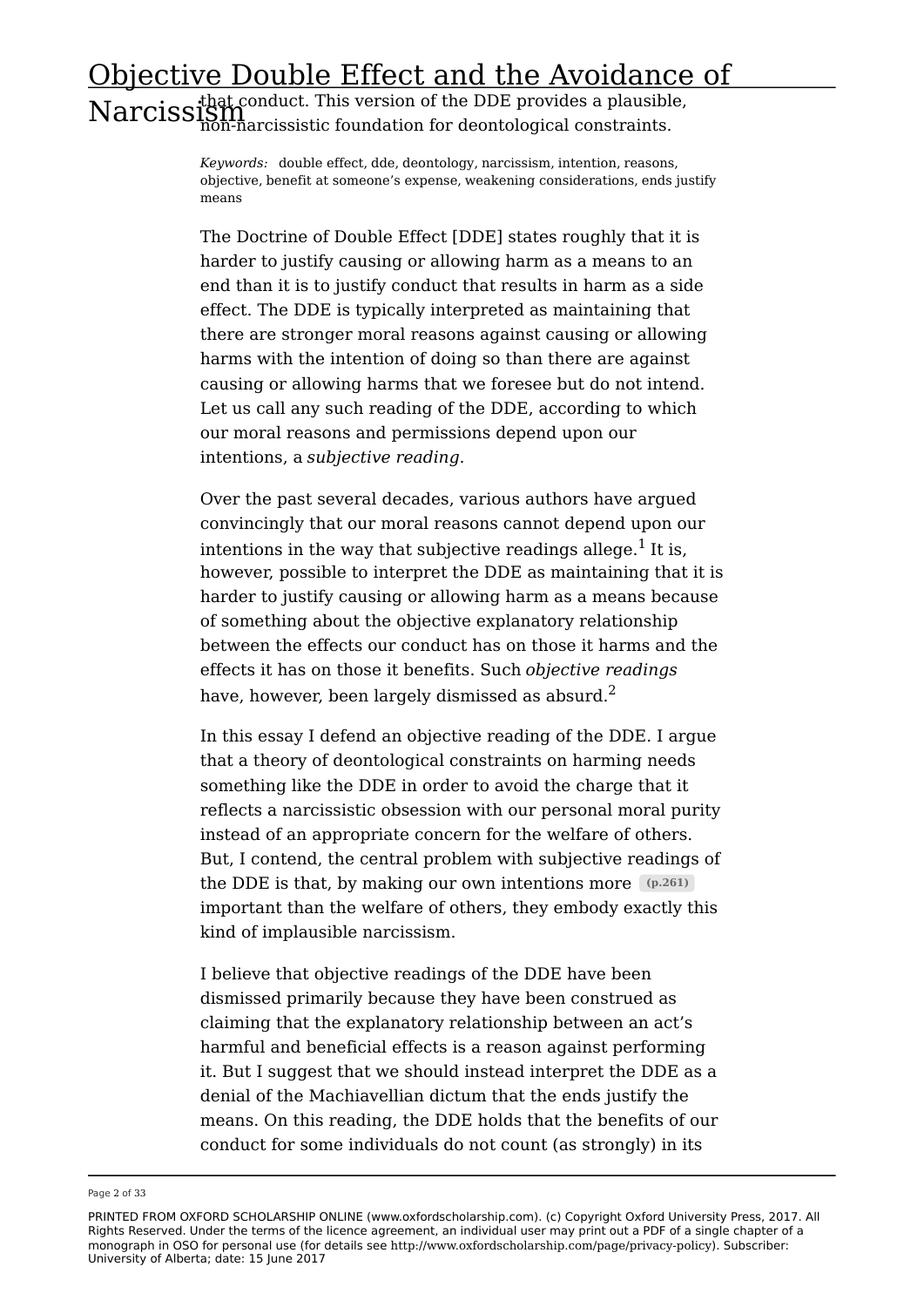$\text{Narcissim}^{\text{that conduct.}}$  This version of the DDE provides a plausible,<br> $\text{Narcissim}^{\text{that contact.}}$  foundation for deoptological constraints non-narcissistic foundation for deontological constraints.

> *Keywords:* double effect, dde, deontology, narcissism, intention, reasons, objective, benefit at someone's expense, weakening considerations, ends justify means

The Doctrine of Double Effect [DDE] states roughly that it is harder to justify causing or allowing harm as a means to an end than it is to justify conduct that results in harm as a side effect. The DDE is typically interpreted as maintaining that there are stronger moral reasons against causing or allowing harms with the intention of doing so than there are against causing or allowing harms that we foresee but do not intend. Let us call any such reading of the DDE, according to which our moral reasons and permissions depend upon our intentions, a *subjective reading*.

Over the past several decades, various authors have argued convincingly that our moral reasons cannot depend upon our intentions in the way that subjective readings allege. $^1$  It is, however, possible to interpret the DDE as maintaining that it is harder to justify causing or allowing harm as a means because of something about the objective explanatory relationship between the effects our conduct has on those it harms and the effects it has on those it benefits. Such *objective readings* have, however, been largely dismissed as absurd. $<sup>2</sup>$ </sup>

In this essay I defend an objective reading of the DDE. I argue that a theory of deontological constraints on harming needs something like the DDE in order to avoid the charge that it reflects a narcissistic obsession with our personal moral purity instead of an appropriate concern for the welfare of others. But, I contend, the central problem with subjective readings of the DDE is that, by making our own intentions more **(p.261)** important than the welfare of others, they embody exactly this kind of implausible narcissism.

I believe that objective readings of the DDE have been dismissed primarily because they have been construed as claiming that the explanatory relationship between an act's harmful and beneficial effects is a reason against performing it. But I suggest that we should instead interpret the DDE as a denial of the Machiavellian dictum that the ends justify the means. On this reading, the DDE holds that the benefits of our conduct for some individuals do not count (as strongly) in its

Page 2 of 33

PRINTED FROM OXFORD SCHOLARSHIP ONLINE (www.oxfordscholarship.com). (c) Copyright Oxford University Press, 2017. All Rights Reserved. Under the terms of the licence agreement, an individual user may print out a PDF of a single chapter of a monograph in OSO for personal use (for details see http://www.oxfordscholarship.com/page/privacy-policy). Subscriber: University of Alberta; date: 15 June 2017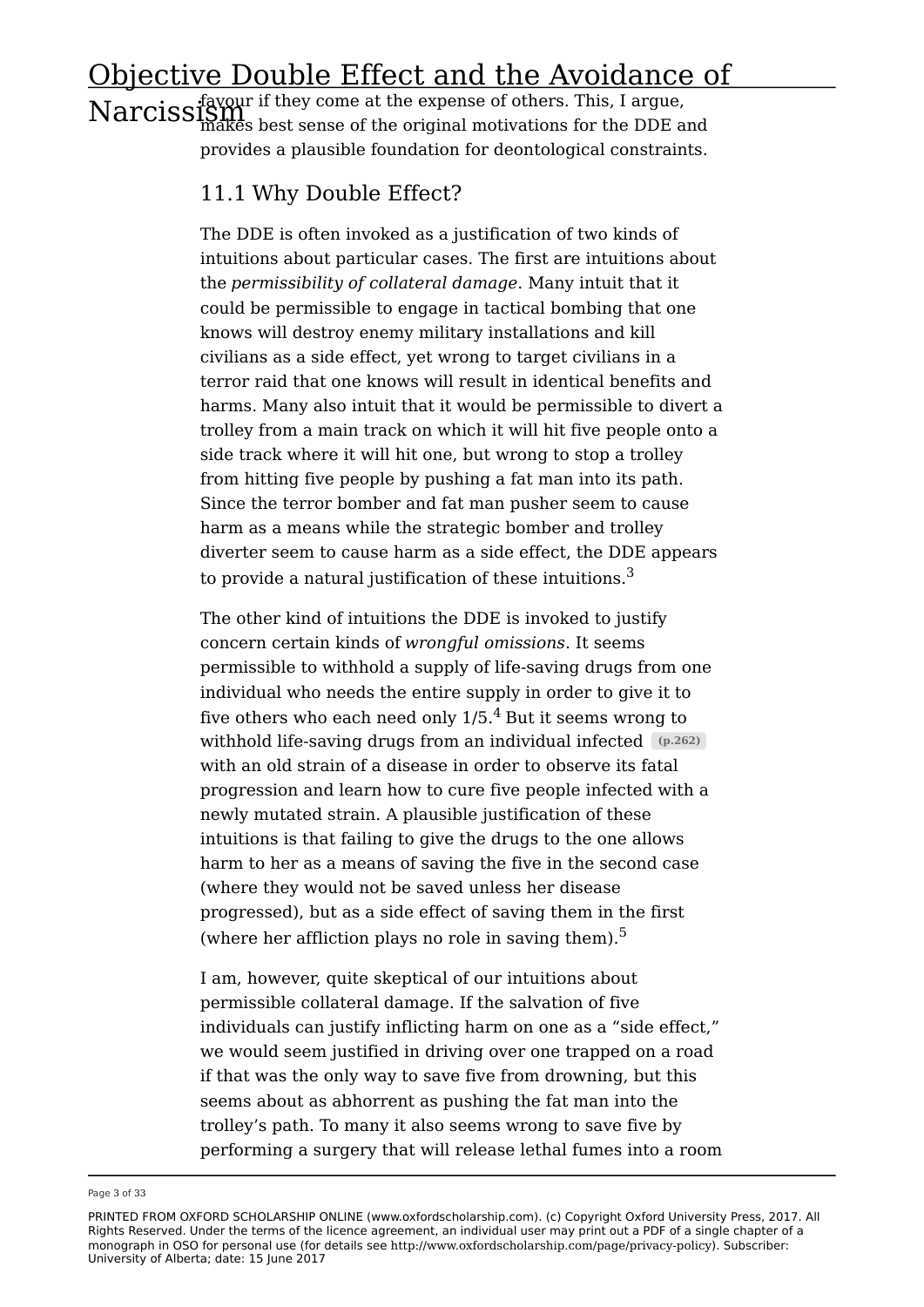$\rm Narcissi \pm Narcissi \pm Narcissi$  if they come at the expense of others. This, I argue,  $\rm Narcissi \pm Narcissi \pm Narcissi$ makes best sense of the original motivations for the DDE and provides a plausible foundation for deontological constraints.

#### 11.1 Why Double Effect?

The DDE is often invoked as a justification of two kinds of intuitions about particular cases. The first are intuitions about the *permissibility of collateral damage*. Many intuit that it could be permissible to engage in tactical bombing that one knows will destroy enemy military installations and kill civilians as a side effect, yet wrong to target civilians in a terror raid that one knows will result in identical benefits and harms. Many also intuit that it would be permissible to divert a trolley from a main track on which it will hit five people onto a side track where it will hit one, but wrong to stop a trolley from hitting five people by pushing a fat man into its path. Since the terror bomber and fat man pusher seem to cause harm as a means while the strategic bomber and trolley diverter seem to cause harm as a side effect, the DDE appears to provide a natural justification of these intuitions. $3$ 

The other kind of intuitions the DDE is invoked to justify concern certain kinds of *wrongful omissions*. It seems permissible to withhold a supply of life-saving drugs from one individual who needs the entire supply in order to give it to five others who each need only  $1/5<sup>4</sup>$  But it seems wrong to withhold life-saving drugs from an individual infected **(p.262)** with an old strain of a disease in order to observe its fatal progression and learn how to cure five people infected with a newly mutated strain. A plausible justification of these intuitions is that failing to give the drugs to the one allows harm to her as a means of saving the five in the second case (where they would not be saved unless her disease progressed), but as a side effect of saving them in the first (where her affliction plays no role in saving them).<sup>5</sup>

I am, however, quite skeptical of our intuitions about permissible collateral damage. If the salvation of five individuals can justify inflicting harm on one as a "side effect," we would seem justified in driving over one trapped on a road if that was the only way to save five from drowning, but this seems about as abhorrent as pushing the fat man into the trolley's path. To many it also seems wrong to save five by performing a surgery that will release lethal fumes into a room

Page 3 of 33

PRINTED FROM OXFORD SCHOLARSHIP ONLINE (www.oxfordscholarship.com). (c) Copyright Oxford University Press, 2017. All Rights Reserved. Under the terms of the licence agreement, an individual user may print out a PDF of a single chapter of a monograph in OSO for personal use (for details see http://www.oxfordscholarship.com/page/privacy-policy). Subscriber: University of Alberta; date: 15 June 2017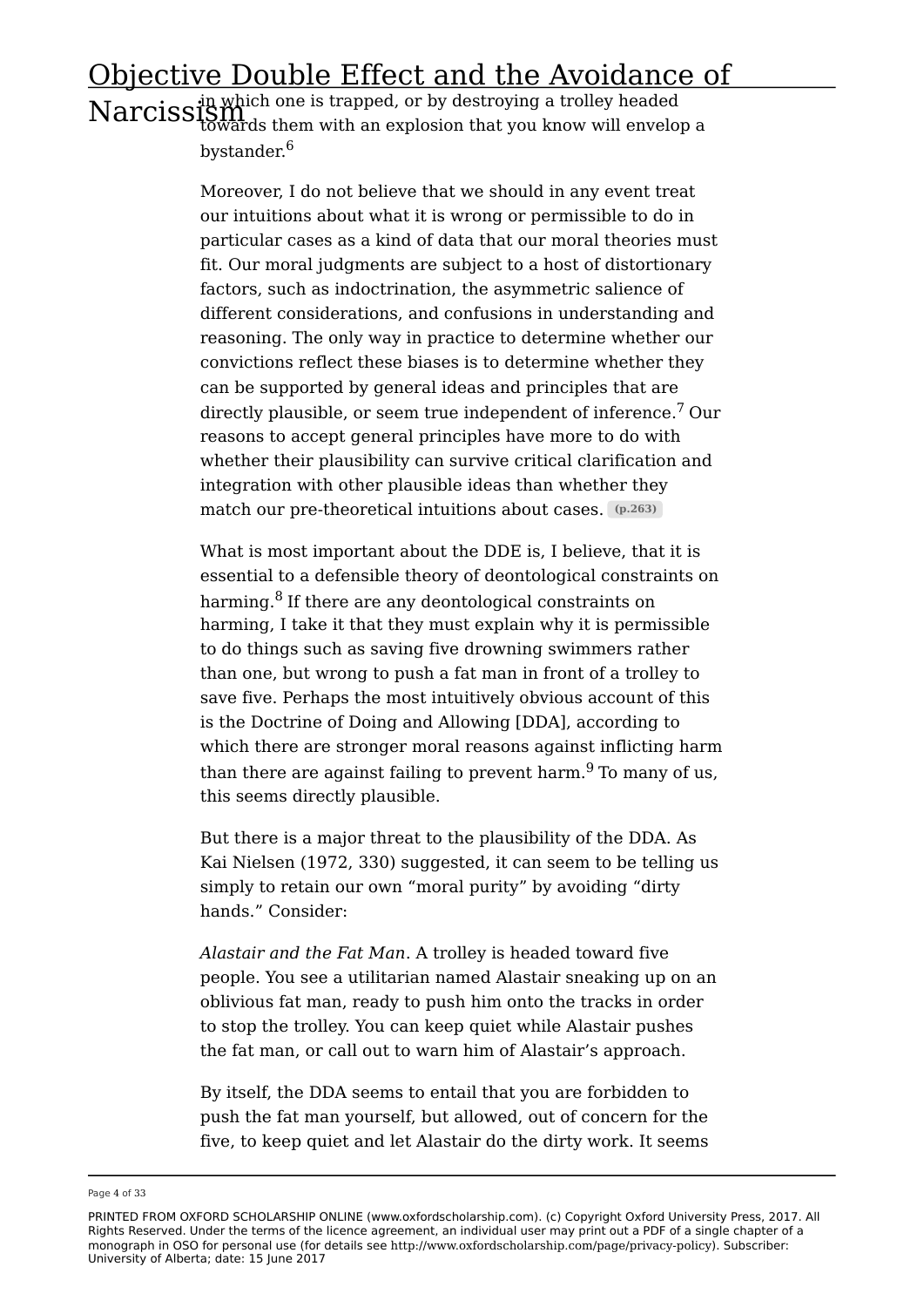$\operatorname{Narcissim}_{\text{boundary}}^{\text{in which one is trapped, or by destroying a troley headed}}$ towards them with an explosion that you know will envelop a bystander.<sup>6</sup>

> Moreover, I do not believe that we should in any event treat our intuitions about what it is wrong or permissible to do in particular cases as a kind of data that our moral theories must fit. Our moral judgments are subject to a host of distortionary factors, such as indoctrination, the asymmetric salience of different considerations, and confusions in understanding and reasoning. The only way in practice to determine whether our convictions reflect these biases is to determine whether they can be supported by general ideas and principles that are directly plausible, or seem true independent of inference.<sup>7</sup> Our reasons to accept general principles have more to do with whether their plausibility can survive critical clarification and integration with other plausible ideas than whether they match our pre-theoretical intuitions about cases. **(p.263)**

What is most important about the DDE is, I believe, that it is essential to a defensible theory of deontological constraints on harming.<sup>8</sup> If there are any deontological constraints on harming, I take it that they must explain why it is permissible to do things such as saving five drowning swimmers rather than one, but wrong to push a fat man in front of a trolley to save five. Perhaps the most intuitively obvious account of this is the Doctrine of Doing and Allowing [DDA], according to which there are stronger moral reasons against inflicting harm than there are against failing to prevent harm. $9$  To many of us, this seems directly plausible.

But there is a major threat to the plausibility of the DDA. As Kai Nielsen (1972, 330) suggested, it can seem to be telling us simply to retain our own "moral purity" by avoiding "dirty hands." Consider:

*Alastair and the Fat Man*. A trolley is headed toward five people. You see a utilitarian named Alastair sneaking up on an oblivious fat man, ready to push him onto the tracks in order to stop the trolley. You can keep quiet while Alastair pushes the fat man, or call out to warn him of Alastair's approach.

By itself, the DDA seems to entail that you are forbidden to push the fat man yourself, but allowed, out of concern for the five, to keep quiet and let Alastair do the dirty work. It seems

Page 4 of 33

PRINTED FROM OXFORD SCHOLARSHIP ONLINE (www.oxfordscholarship.com). (c) Copyright Oxford University Press, 2017. All Rights Reserved. Under the terms of the licence agreement, an individual user may print out a PDF of a single chapter of a monograph in OSO for personal use (for details see http://www.oxfordscholarship.com/page/privacy-policy). Subscriber: University of Alberta; date: 15 June 2017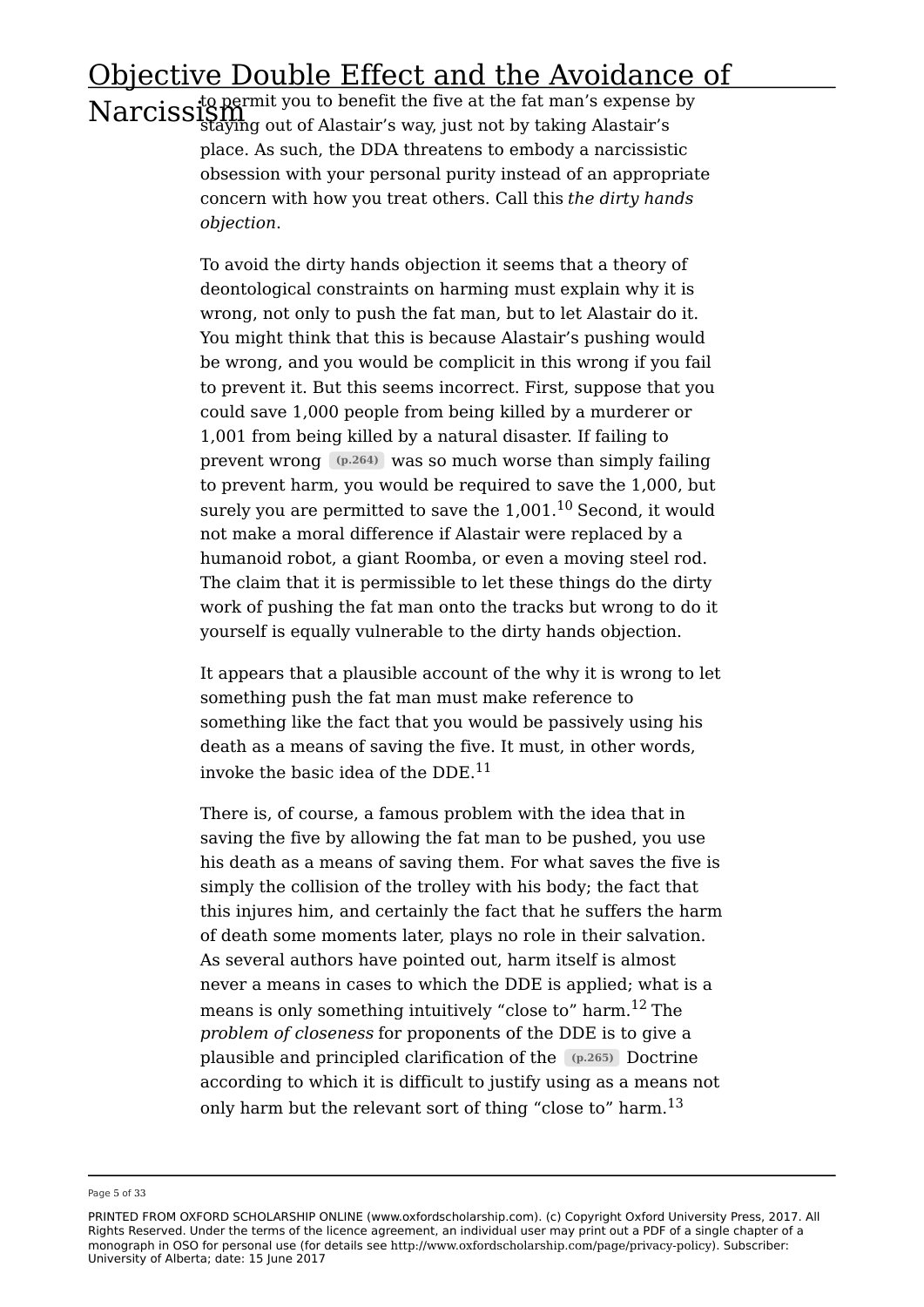$\operatorname{Narcissim}_{\mathcal{S}}^{\text{to permit}}$  you to benefit the five at the fat man's expense by  $\operatorname{Narcissim}_{\mathcal{S}}^{\text{to {to}}}$ staying out of Alastair's way, just not by taking Alastair's place. As such, the DDA threatens to embody a narcissistic obsession with your personal purity instead of an appropriate concern with how you treat others. Call this *the dirty hands objection*.

> To avoid the dirty hands objection it seems that a theory of deontological constraints on harming must explain why it is wrong, not only to push the fat man, but to let Alastair do it. You might think that this is because Alastair's pushing would be wrong, and you would be complicit in this wrong if you fail to prevent it. But this seems incorrect. First, suppose that you could save 1,000 people from being killed by a murderer or 1,001 from being killed by a natural disaster. If failing to  $\bm{p}$  prevent wrong  $(p.264)$  was so much worse than simply failing to prevent harm, you would be required to save the 1,000, but surely you are permitted to save the  $1.001$ .<sup>10</sup> Second, it would not make a moral difference if Alastair were replaced by a humanoid robot, a giant Roomba, or even a moving steel rod. The claim that it is permissible to let these things do the dirty work of pushing the fat man onto the tracks but wrong to do it yourself is equally vulnerable to the dirty hands objection.

It appears that a plausible account of the why it is wrong to let something push the fat man must make reference to something like the fact that you would be passively using his death as a means of saving the five. It must, in other words, invoke the basic idea of the DDE.<sup>11</sup>

There is, of course, a famous problem with the idea that in saving the five by allowing the fat man to be pushed, you use his death as a means of saving them. For what saves the five is simply the collision of the trolley with his body; the fact that this injures him, and certainly the fact that he suffers the harm of death some moments later, plays no role in their salvation. As several authors have pointed out, harm itself is almost never a means in cases to which the DDE is applied; what is a means is only something intuitively "close to" harm.<sup>12</sup> The *problem of closeness* for proponents of the DDE is to give a plausible and principled clarification of the Cp.265) Doctrine according to which it is difficult to justify using as a means not only harm but the relevant sort of thing "close to" harm.<sup>13</sup>

Page 5 of 33

PRINTED FROM OXFORD SCHOLARSHIP ONLINE (www.oxfordscholarship.com). (c) Copyright Oxford University Press, 2017. All Rights Reserved. Under the terms of the licence agreement, an individual user may print out a PDF of a single chapter of a monograph in OSO for personal use (for details see http://www.oxfordscholarship.com/page/privacy-policy). Subscriber: University of Alberta; date: 15 June 2017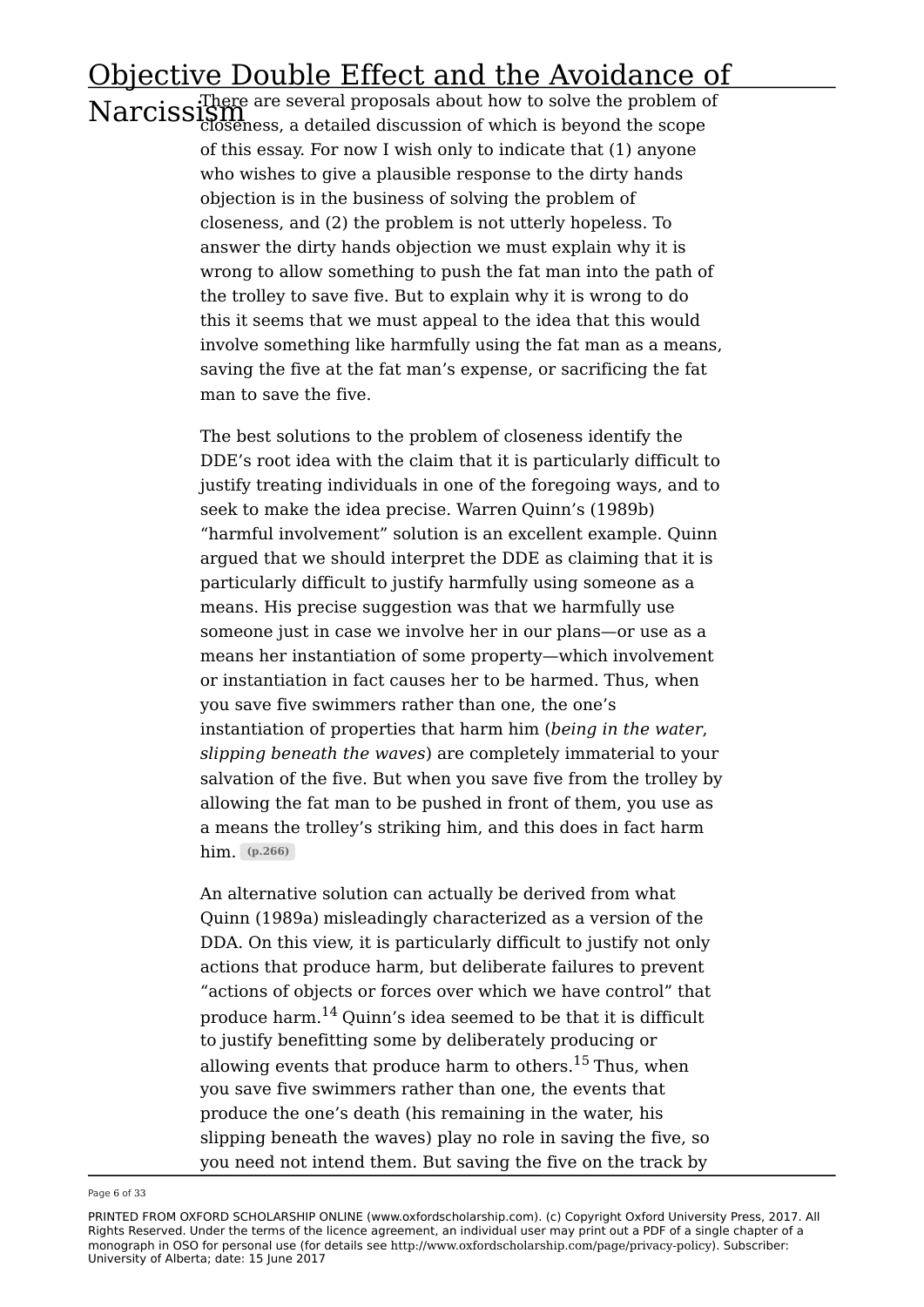$\rm Narcissi\ssim\frac{\rm There}{\rm area}$  are several proposals about how to solve the problem of  $\rm Narcissi\ssim\frac{\rm There}{\rm area}$ closeness, a detailed discussion of which is beyond the scope of this essay. For now I wish only to indicate that (1) anyone who wishes to give a plausible response to the dirty hands objection is in the business of solving the problem of closeness, and (2) the problem is not utterly hopeless. To answer the dirty hands objection we must explain why it is wrong to allow something to push the fat man into the path of the trolley to save five. But to explain why it is wrong to do this it seems that we must appeal to the idea that this would involve something like harmfully using the fat man as a means, saving the five at the fat man's expense, or sacrificing the fat man to save the five.

> The best solutions to the problem of closeness identify the DDE's root idea with the claim that it is particularly difficult to justify treating individuals in one of the foregoing ways, and to seek to make the idea precise. Warren Quinn's (1989b) "harmful involvement" solution is an excellent example. Quinn argued that we should interpret the DDE as claiming that it is particularly difficult to justify harmfully using someone as a means. His precise suggestion was that we harmfully use someone just in case we involve her in our plans—or use as a means her instantiation of some property—which involvement or instantiation in fact causes her to be harmed. Thus, when you save five swimmers rather than one, the one's instantiation of properties that harm him (*being in the water*, *slipping beneath the waves*) are completely immaterial to your salvation of the five. But when you save five from the trolley by allowing the fat man to be pushed in front of them, you use as a means the trolley's striking him, and this does in fact harm him. **(p.266)**

An alternative solution can actually be derived from what Quinn (1989a) misleadingly characterized as a version of the DDA. On this view, it is particularly difficult to justify not only actions that produce harm, but deliberate failures to prevent "actions of objects or forces over which we have control" that produce harm.<sup>14</sup> Quinn's idea seemed to be that it is difficult to justify benefitting some by deliberately producing or allowing events that produce harm to others.<sup>15</sup> Thus, when you save five swimmers rather than one, the events that produce the one's death (his remaining in the water, his slipping beneath the waves) play no role in saving the five, so you need not intend them. But saving the five on the track by

Page 6 of 33

PRINTED FROM OXFORD SCHOLARSHIP ONLINE (www.oxfordscholarship.com). (c) Copyright Oxford University Press, 2017. All Rights Reserved. Under the terms of the licence agreement, an individual user may print out a PDF of a single chapter of a monograph in OSO for personal use (for details see http://www.oxfordscholarship.com/page/privacy-policy). Subscriber: University of Alberta; date: 15 June 2017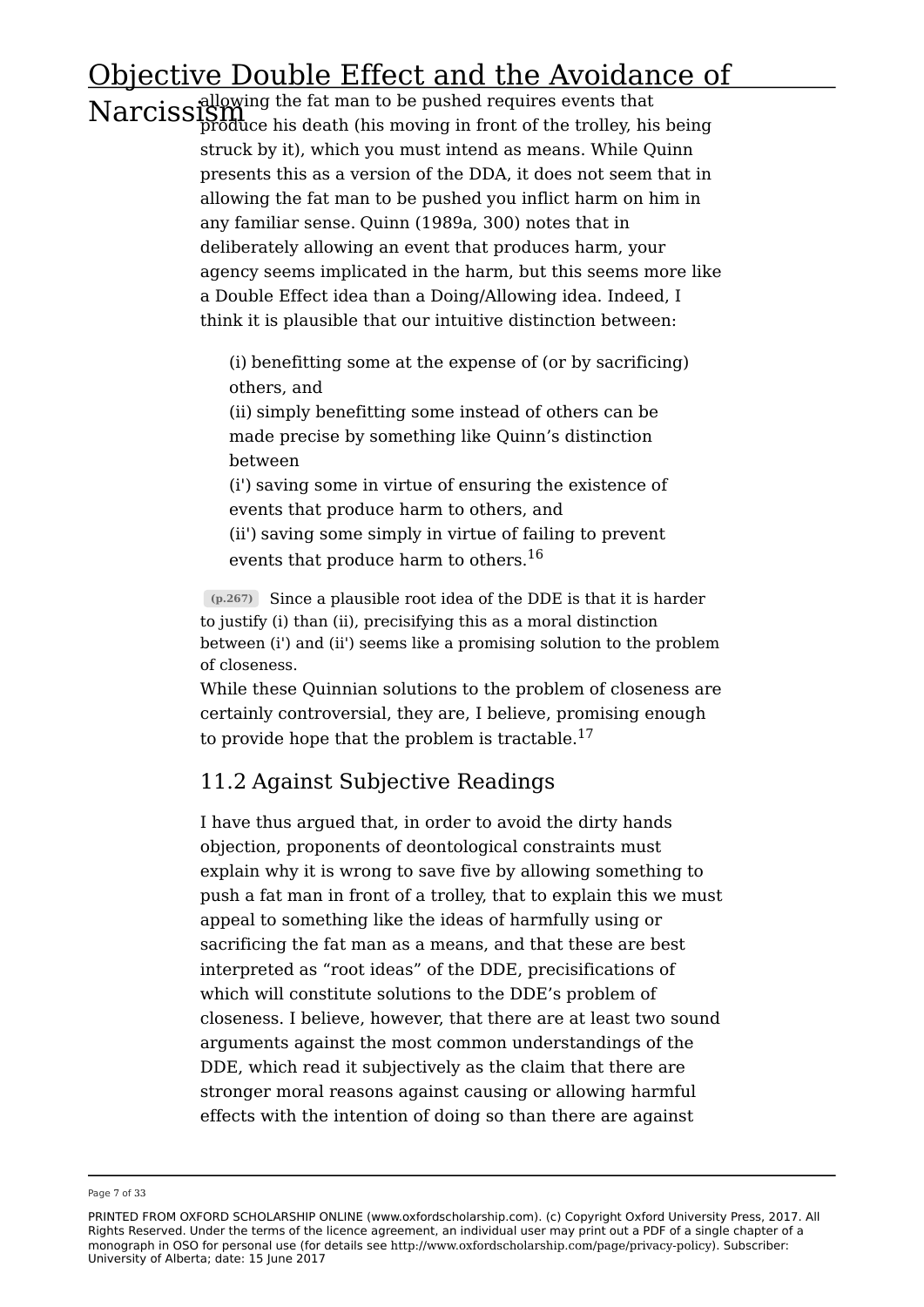$\operatorname{Narcissim}_{\operatorname{condure}}^{\operatorname{allowing}}$  the fat man to be pushed requires events that<br> $\operatorname{Narcissim}_{\operatorname{condure}}^{\operatorname{allowing}}$  his death (his moving in front of the trolley, his being produce his death (his moving in front of the trolley, his being struck by it), which you must intend as means. While Quinn presents this as a version of the DDA, it does not seem that in allowing the fat man to be pushed you inflict harm on him in any familiar sense. Quinn (1989a, 300) notes that in deliberately allowing an event that produces harm, your agency seems implicated in the harm, but this seems more like a Double Effect idea than a Doing/Allowing idea. Indeed, I think it is plausible that our intuitive distinction between:

> (i) benefitting some at the expense of (or by sacrificing) others, and

(ii) simply benefitting some instead of others can be made precise by something like Quinn's distinction between

(i') saving some in virtue of ensuring the existence of events that produce harm to others, and (ii') saving some simply in virtue of failing to prevent events that produce harm to others.<sup>16</sup>

Since a plausible root idea of the DDE is that it is harder **(p.267)** to justify (i) than (ii), precisifying this as a moral distinction between (i') and (ii') seems like a promising solution to the problem of closeness.

While these Quinnian solutions to the problem of closeness are certainly controversial, they are, I believe, promising enough to provide hope that the problem is tractable.<sup>17</sup>

#### 11.2 Against Subjective Readings

I have thus argued that, in order to avoid the dirty hands objection, proponents of deontological constraints must explain why it is wrong to save five by allowing something to push a fat man in front of a trolley, that to explain this we must appeal to something like the ideas of harmfully using or sacrificing the fat man as a means, and that these are best interpreted as "root ideas" of the DDE, precisifications of which will constitute solutions to the DDE's problem of closeness. I believe, however, that there are at least two sound arguments against the most common understandings of the DDE, which read it subjectively as the claim that there are stronger moral reasons against causing or allowing harmful effects with the intention of doing so than there are against

Page 7 of 33

PRINTED FROM OXFORD SCHOLARSHIP ONLINE (www.oxfordscholarship.com). (c) Copyright Oxford University Press, 2017. All Rights Reserved. Under the terms of the licence agreement, an individual user may print out a PDF of a single chapter of a monograph in OSO for personal use (for details see http://www.oxfordscholarship.com/page/privacy-policy). Subscriber: University of Alberta; date: 15 June 2017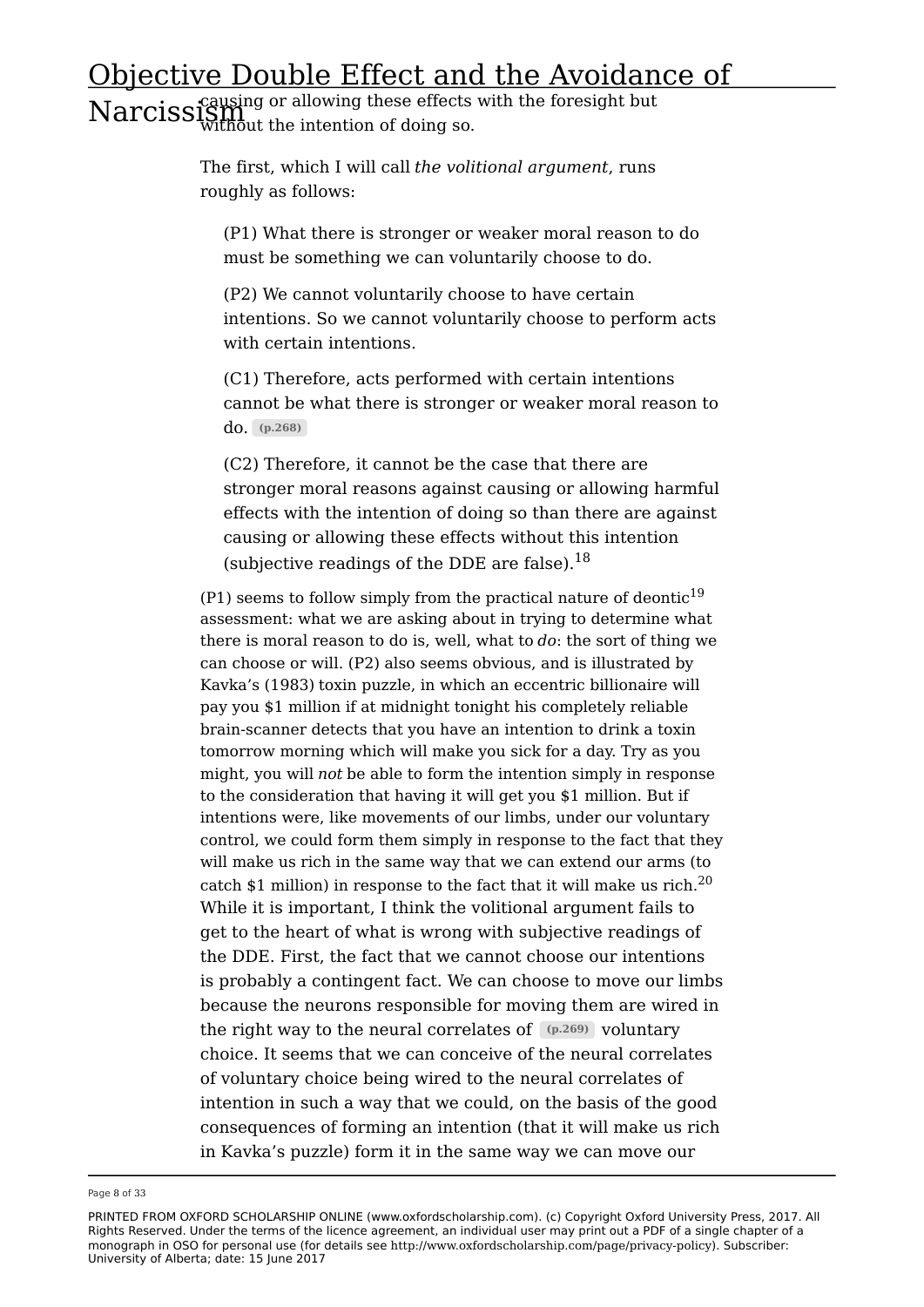$\operatorname{Narcissim}_{\operatorname{symform}}$  or allowing these effects with the foresight but<br> $\operatorname{Narcissim}_{\operatorname{symform}}$  $\widetilde{\text{wt}}$  the intention of doing so.

> The first, which I will call *the volitional argument*, runs roughly as follows:

(P1) What there is stronger or weaker moral reason to do must be something we can voluntarily choose to do.

(P2) We cannot voluntarily choose to have certain intentions. So we cannot voluntarily choose to perform acts with certain intentions.

(C1) Therefore, acts performed with certain intentions cannot be what there is stronger or weaker moral reason to do. **(p.268)**

(C2) Therefore, it cannot be the case that there are stronger moral reasons against causing or allowing harmful effects with the intention of doing so than there are against causing or allowing these effects without this intention (subjective readings of the DDE are false). $18$ 

 $(P1)$  seems to follow simply from the practical nature of deontic<sup>19</sup> assessment: what we are asking about in trying to determine what there is moral reason to do is, well, what to *do*: the sort of thing we can choose or will. (P2) also seems obvious, and is illustrated by Kavka's (1983) toxin puzzle, in which an eccentric billionaire will pay you \$1 million if at midnight tonight his completely reliable brain-scanner detects that you have an intention to drink a toxin tomorrow morning which will make you sick for a day. Try as you might, you will *not* be able to form the intention simply in response to the consideration that having it will get you \$1 million. But if intentions were, like movements of our limbs, under our voluntary control, we could form them simply in response to the fact that they will make us rich in the same way that we can extend our arms (to catch  $$1$  million) in response to the fact that it will make us rich.<sup>20</sup> While it is important, I think the volitional argument fails to get to the heart of what is wrong with subjective readings of the DDE. First, the fact that we cannot choose our intentions is probably a contingent fact. We can choose to move our limbs because the neurons responsible for moving them are wired in the right way to the neural correlates of  $(p.269)$  voluntary choice. It seems that we can conceive of the neural correlates of voluntary choice being wired to the neural correlates of intention in such a way that we could, on the basis of the good consequences of forming an intention (that it will make us rich in Kavka's puzzle) form it in the same way we can move our

Page 8 of 33

PRINTED FROM OXFORD SCHOLARSHIP ONLINE (www.oxfordscholarship.com). (c) Copyright Oxford University Press, 2017. All Rights Reserved. Under the terms of the licence agreement, an individual user may print out a PDF of a single chapter of a monograph in OSO for personal use (for details see http://www.oxfordscholarship.com/page/privacy-policy). Subscriber: University of Alberta; date: 15 June 2017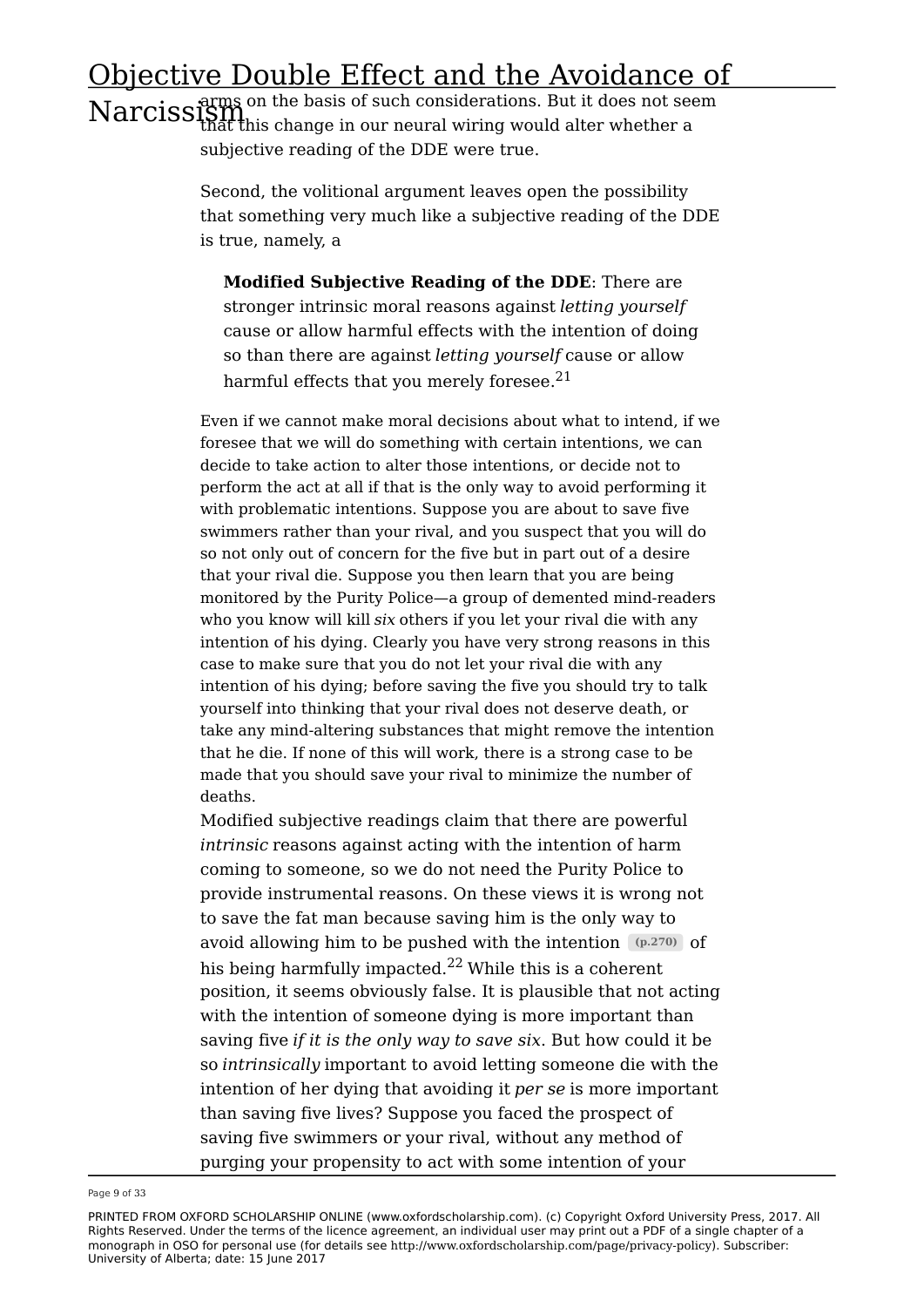$\rm Narcissi \pm 10^{3}$  on the basis of such considerations. But it does not seem<br> $\rm Narcissi \pm 10^{3}$ that this change in our neural wiring would alter whether a subjective reading of the DDE were true.

Second, the volitional argument leaves open the possibility that something very much like a subjective reading of the DDE is true, namely, a

**Modified Subjective Reading of the DDE**: There are stronger intrinsic moral reasons against *letting yourself* cause or allow harmful effects with the intention of doing so than there are against *letting yourself* cause or allow harmful effects that you merely foresee. $21$ 

Even if we cannot make moral decisions about what to intend, if we foresee that we will do something with certain intentions, we can decide to take action to alter those intentions, or decide not to perform the act at all if that is the only way to avoid performing it with problematic intentions. Suppose you are about to save five swimmers rather than your rival, and you suspect that you will do so not only out of concern for the five but in part out of a desire that your rival die. Suppose you then learn that you are being monitored by the Purity Police—a group of demented mind-readers who you know will kill *six* others if you let your rival die with any intention of his dying. Clearly you have very strong reasons in this case to make sure that you do not let your rival die with any intention of his dying; before saving the five you should try to talk yourself into thinking that your rival does not deserve death, or take any mind-altering substances that might remove the intention that he die. If none of this will work, there is a strong case to be made that you should save your rival to minimize the number of deaths.

Modified subjective readings claim that there are powerful *intrinsic* reasons against acting with the intention of harm coming to someone, so we do not need the Purity Police to provide instrumental reasons. On these views it is wrong not to save the fat man because saving him is the only way to avoid allowing him to be pushed with the intention (p.270) of his being harmfully impacted.<sup>22</sup> While this is a coherent position, it seems obviously false. It is plausible that not acting with the intention of someone dying is more important than saving five *if it is the only way to save six*. But how could it be so *intrinsically* important to avoid letting someone die with the intention of her dying that avoiding it *per se* is more important than saving five lives? Suppose you faced the prospect of saving five swimmers or your rival, without any method of purging your propensity to act with some intention of your

Page 9 of 33

PRINTED FROM OXFORD SCHOLARSHIP ONLINE (www.oxfordscholarship.com). (c) Copyright Oxford University Press, 2017. All Rights Reserved. Under the terms of the licence agreement, an individual user may print out a PDF of a single chapter of a monograph in OSO for personal use (for details see http://www.oxfordscholarship.com/page/privacy-policy). Subscriber: University of Alberta; date: 15 June 2017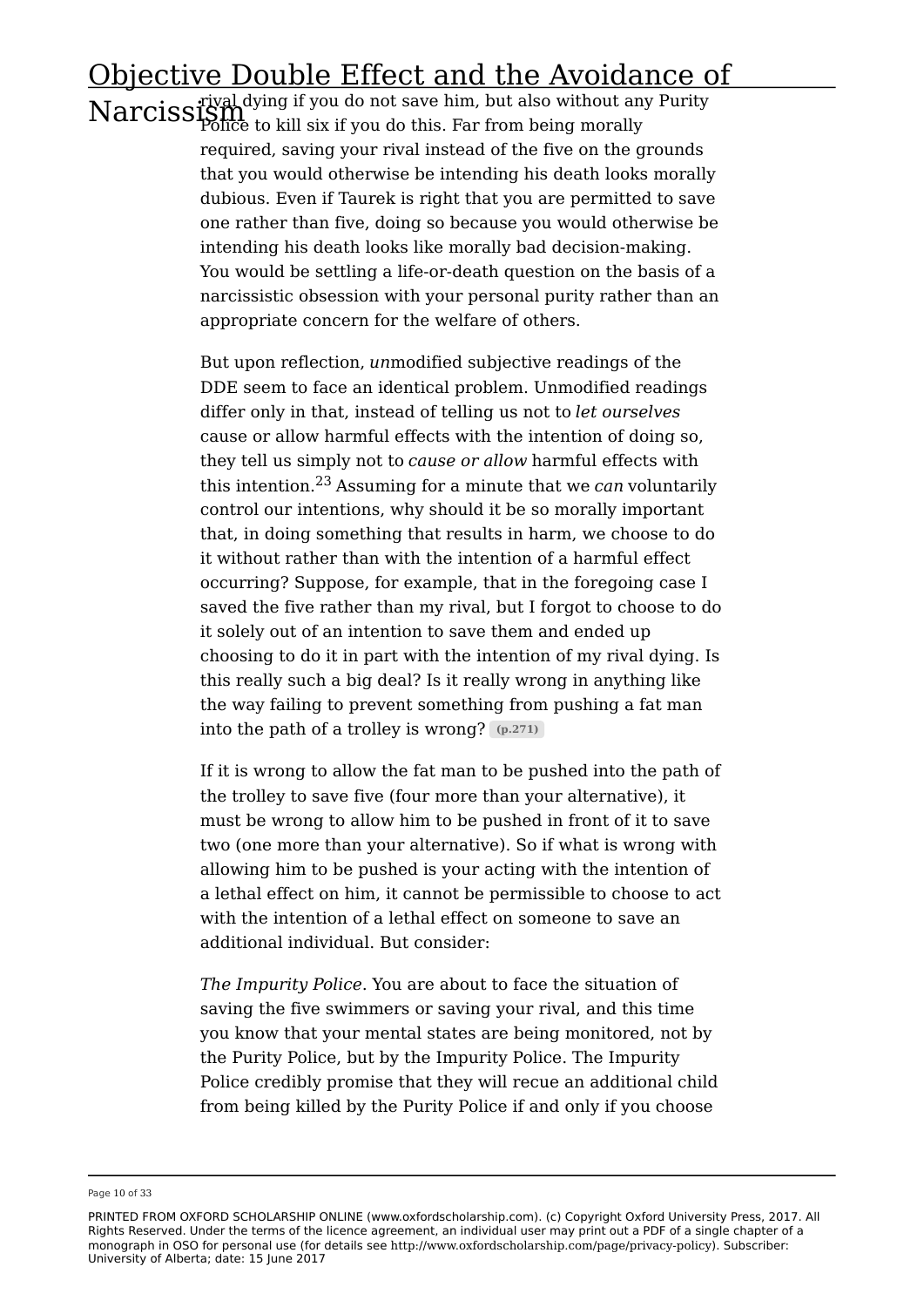$\rm Narcissi \ssim m^2$  dying if you do not save him, but also without any Purity<br> $\rm Narcissi \ssim m^2$  to kill six if you do this. Far from being morally Police to kill six if you do this. Far from being morally required, saving your rival instead of the five on the grounds that you would otherwise be intending his death looks morally dubious. Even if Taurek is right that you are permitted to save one rather than five, doing so because you would otherwise be intending his death looks like morally bad decision-making. You would be settling a life-or-death question on the basis of a narcissistic obsession with your personal purity rather than an appropriate concern for the welfare of others.

> But upon reflection, *un*modified subjective readings of the DDE seem to face an identical problem. Unmodified readings differ only in that, instead of telling us not to *let ourselves* cause or allow harmful effects with the intention of doing so, they tell us simply not to *cause or allow* harmful effects with this intention.<sup>23</sup> Assuming for a minute that we *can* voluntarily control our intentions, why should it be so morally important that, in doing something that results in harm, we choose to do it without rather than with the intention of a harmful effect occurring? Suppose, for example, that in the foregoing case I saved the five rather than my rival, but I forgot to choose to do it solely out of an intention to save them and ended up choosing to do it in part with the intention of my rival dying. Is this really such a big deal? Is it really wrong in anything like the way failing to prevent something from pushing a fat man into the path of a trolley is wrong? **(p.271)**

If it is wrong to allow the fat man to be pushed into the path of the trolley to save five (four more than your alternative), it must be wrong to allow him to be pushed in front of it to save two (one more than your alternative). So if what is wrong with allowing him to be pushed is your acting with the intention of a lethal effect on him, it cannot be permissible to choose to act with the intention of a lethal effect on someone to save an additional individual. But consider:

*The Impurity Police*. You are about to face the situation of saving the five swimmers or saving your rival, and this time you know that your mental states are being monitored, not by the Purity Police, but by the Impurity Police. The Impurity Police credibly promise that they will recue an additional child from being killed by the Purity Police if and only if you choose

Page 10 of 33

PRINTED FROM OXFORD SCHOLARSHIP ONLINE (www.oxfordscholarship.com). (c) Copyright Oxford University Press, 2017. All Rights Reserved. Under the terms of the licence agreement, an individual user may print out a PDF of a single chapter of a monograph in OSO for personal use (for details see http://www.oxfordscholarship.com/page/privacy-policy). Subscriber: University of Alberta; date: 15 June 2017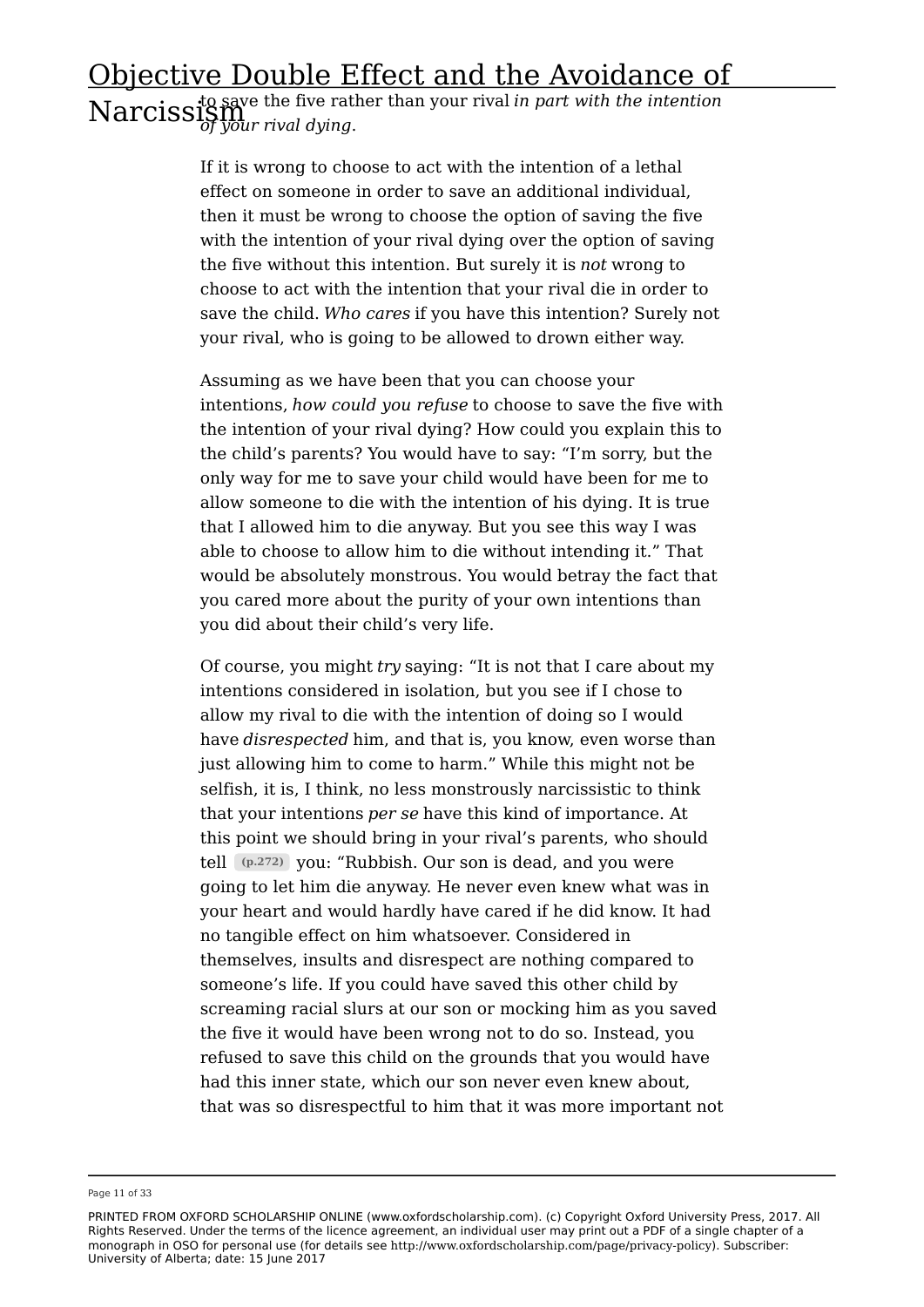Narcissism to save the five rather than your rival *in part with the intention of your rival dying*.

> If it is wrong to choose to act with the intention of a lethal effect on someone in order to save an additional individual, then it must be wrong to choose the option of saving the five with the intention of your rival dying over the option of saving the five without this intention. But surely it is *not* wrong to choose to act with the intention that your rival die in order to save the child. *Who cares* if you have this intention? Surely not your rival, who is going to be allowed to drown either way.

> Assuming as we have been that you can choose your intentions, *how could you refuse* to choose to save the five with the intention of your rival dying? How could you explain this to the child's parents? You would have to say: "I'm sorry, but the only way for me to save your child would have been for me to allow someone to die with the intention of his dying. It is true that I allowed him to die anyway. But you see this way I was able to choose to allow him to die without intending it." That would be absolutely monstrous. You would betray the fact that you cared more about the purity of your own intentions than you did about their child's very life.

Of course, you might *try* saying: "It is not that I care about my intentions considered in isolation, but you see if I chose to allow my rival to die with the intention of doing so I would have *disrespected* him, and that is, you know, even worse than just allowing him to come to harm." While this might not be selfish, it is, I think, no less monstrously narcissistic to think that your intentions *per se* have this kind of importance. At this point we should bring in your rival's parents, who should tell (p.272) you: "Rubbish. Our son is dead, and you were going to let him die anyway. He never even knew what was in your heart and would hardly have cared if he did know. It had no tangible effect on him whatsoever. Considered in themselves, insults and disrespect are nothing compared to someone's life. If you could have saved this other child by screaming racial slurs at our son or mocking him as you saved the five it would have been wrong not to do so. Instead, you refused to save this child on the grounds that you would have had this inner state, which our son never even knew about, that was so disrespectful to him that it was more important not

Page 11 of 33

PRINTED FROM OXFORD SCHOLARSHIP ONLINE (www.oxfordscholarship.com). (c) Copyright Oxford University Press, 2017. All Rights Reserved. Under the terms of the licence agreement, an individual user may print out a PDF of a single chapter of a monograph in OSO for personal use (for details see http://www.oxfordscholarship.com/page/privacy-policy). Subscriber: University of Alberta; date: 15 June 2017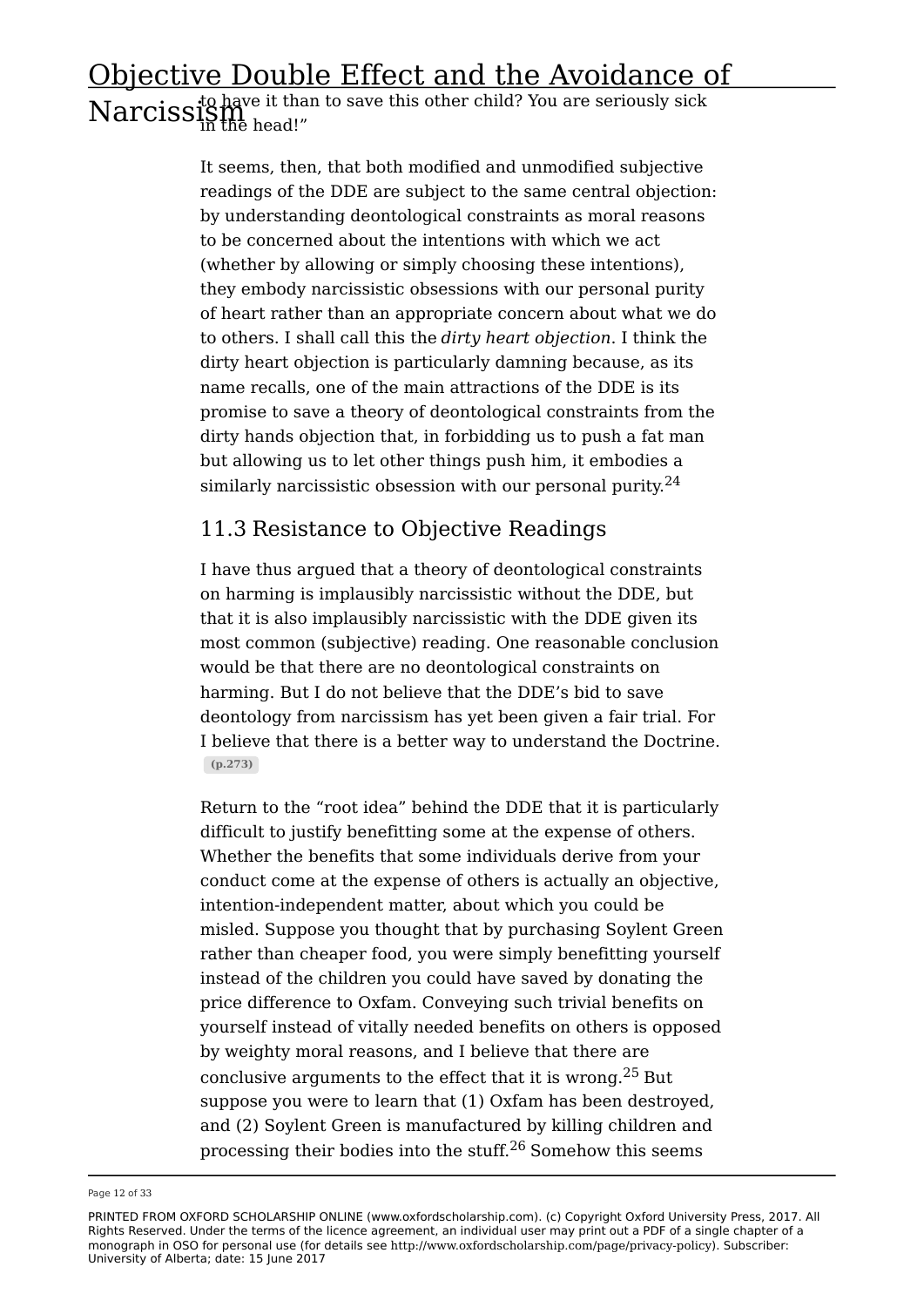$\operatorname{Narcissi}^{\text{to have it than to save this other child?}$  You are seriously sick  $\operatorname{Narcissi}^{\text{to have it than to save this other child?}$ in the head!"

> It seems, then, that both modified and unmodified subjective readings of the DDE are subject to the same central objection: by understanding deontological constraints as moral reasons to be concerned about the intentions with which we act (whether by allowing or simply choosing these intentions), they embody narcissistic obsessions with our personal purity of heart rather than an appropriate concern about what we do to others. I shall call this the *dirty heart objection*. I think the dirty heart objection is particularly damning because, as its name recalls, one of the main attractions of the DDE is its promise to save a theory of deontological constraints from the dirty hands objection that, in forbidding us to push a fat man but allowing us to let other things push him, it embodies a similarly narcissistic obsession with our personal purity. $^{24}$

#### 11.3 Resistance to Objective Readings

I have thus argued that a theory of deontological constraints on harming is implausibly narcissistic without the DDE, but that it is also implausibly narcissistic with the DDE given its most common (subjective) reading. One reasonable conclusion would be that there are no deontological constraints on harming. But I do not believe that the DDE's bid to save deontology from narcissism has yet been given a fair trial. For I believe that there is a better way to understand the Doctrine. **(p.273)**

Return to the "root idea" behind the DDE that it is particularly difficult to justify benefitting some at the expense of others. Whether the benefits that some individuals derive from your conduct come at the expense of others is actually an objective, intention-independent matter, about which you could be misled. Suppose you thought that by purchasing Soylent Green rather than cheaper food, you were simply benefitting yourself instead of the children you could have saved by donating the price difference to Oxfam. Conveying such trivial benefits on yourself instead of vitally needed benefits on others is opposed by weighty moral reasons, and I believe that there are conclusive arguments to the effect that it is wrong.<sup>25</sup> But suppose you were to learn that (1) Oxfam has been destroyed, and (2) Soylent Green is manufactured by killing children and processing their bodies into the stuff. $^{26}$  Somehow this seems

Page 12 of 33

PRINTED FROM OXFORD SCHOLARSHIP ONLINE (www.oxfordscholarship.com). (c) Copyright Oxford University Press, 2017. All Rights Reserved. Under the terms of the licence agreement, an individual user may print out a PDF of a single chapter of a monograph in OSO for personal use (for details see http://www.oxfordscholarship.com/page/privacy-policy). Subscriber: University of Alberta; date: 15 June 2017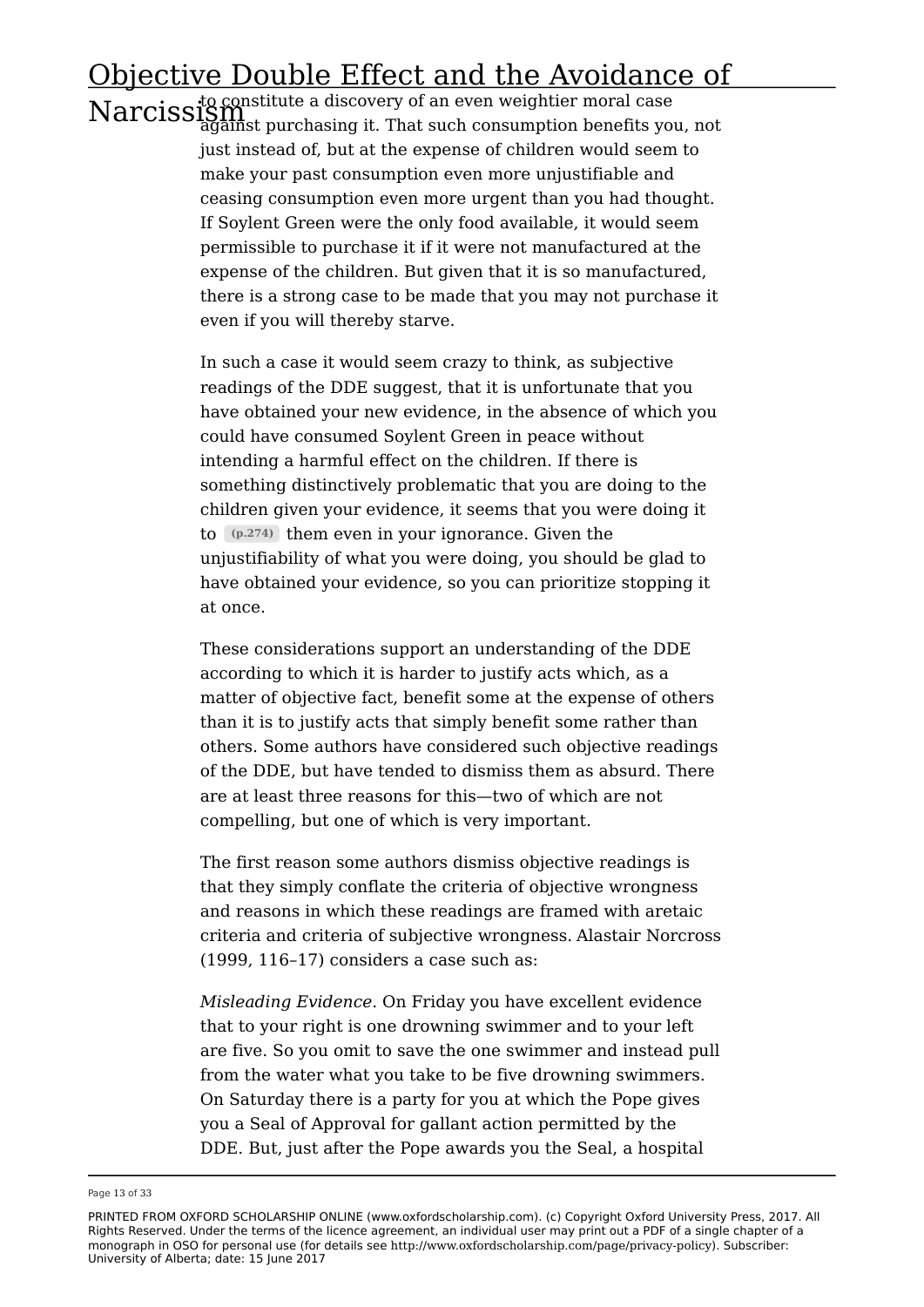$\mathrm{Narcissi}_{\mathrm{asymst}}^{\mathrm{to~constitute~a~discovery~of~an~even~weight}}$  moral case<br> $\mathrm{Narcissi}_{\mathrm{asymst~numerical~The~such~constraint}}^{\mathrm{to~costrus}}$ against purchasing it. That such consumption benefits you, not just instead of, but at the expense of children would seem to make your past consumption even more unjustifiable and ceasing consumption even more urgent than you had thought. If Soylent Green were the only food available, it would seem permissible to purchase it if it were not manufactured at the expense of the children. But given that it is so manufactured, there is a strong case to be made that you may not purchase it even if you will thereby starve.

> In such a case it would seem crazy to think, as subjective readings of the DDE suggest, that it is unfortunate that you have obtained your new evidence, in the absence of which you could have consumed Soylent Green in peace without intending a harmful effect on the children. If there is something distinctively problematic that you are doing to the children given your evidence, it seems that you were doing it to  $(p.274)$  them even in your ignorance. Given the unjustifiability of what you were doing, you should be glad to have obtained your evidence, so you can prioritize stopping it at once.

These considerations support an understanding of the DDE according to which it is harder to justify acts which, as a matter of objective fact, benefit some at the expense of others than it is to justify acts that simply benefit some rather than others. Some authors have considered such objective readings of the DDE, but have tended to dismiss them as absurd. There are at least three reasons for this—two of which are not compelling, but one of which is very important.

The first reason some authors dismiss objective readings is that they simply conflate the criteria of objective wrongness and reasons in which these readings are framed with aretaic criteria and criteria of subjective wrongness. Alastair Norcross (1999, 116–17) considers a case such as:

*Misleading Evidence*. On Friday you have excellent evidence that to your right is one drowning swimmer and to your left are five. So you omit to save the one swimmer and instead pull from the water what you take to be five drowning swimmers. On Saturday there is a party for you at which the Pope gives you a Seal of Approval for gallant action permitted by the DDE. But, just after the Pope awards you the Seal, a hospital

Page 13 of 33

PRINTED FROM OXFORD SCHOLARSHIP ONLINE (www.oxfordscholarship.com). (c) Copyright Oxford University Press, 2017. All Rights Reserved. Under the terms of the licence agreement, an individual user may print out a PDF of a single chapter of a monograph in OSO for personal use (for details see http://www.oxfordscholarship.com/page/privacy-policy). Subscriber: University of Alberta; date: 15 June 2017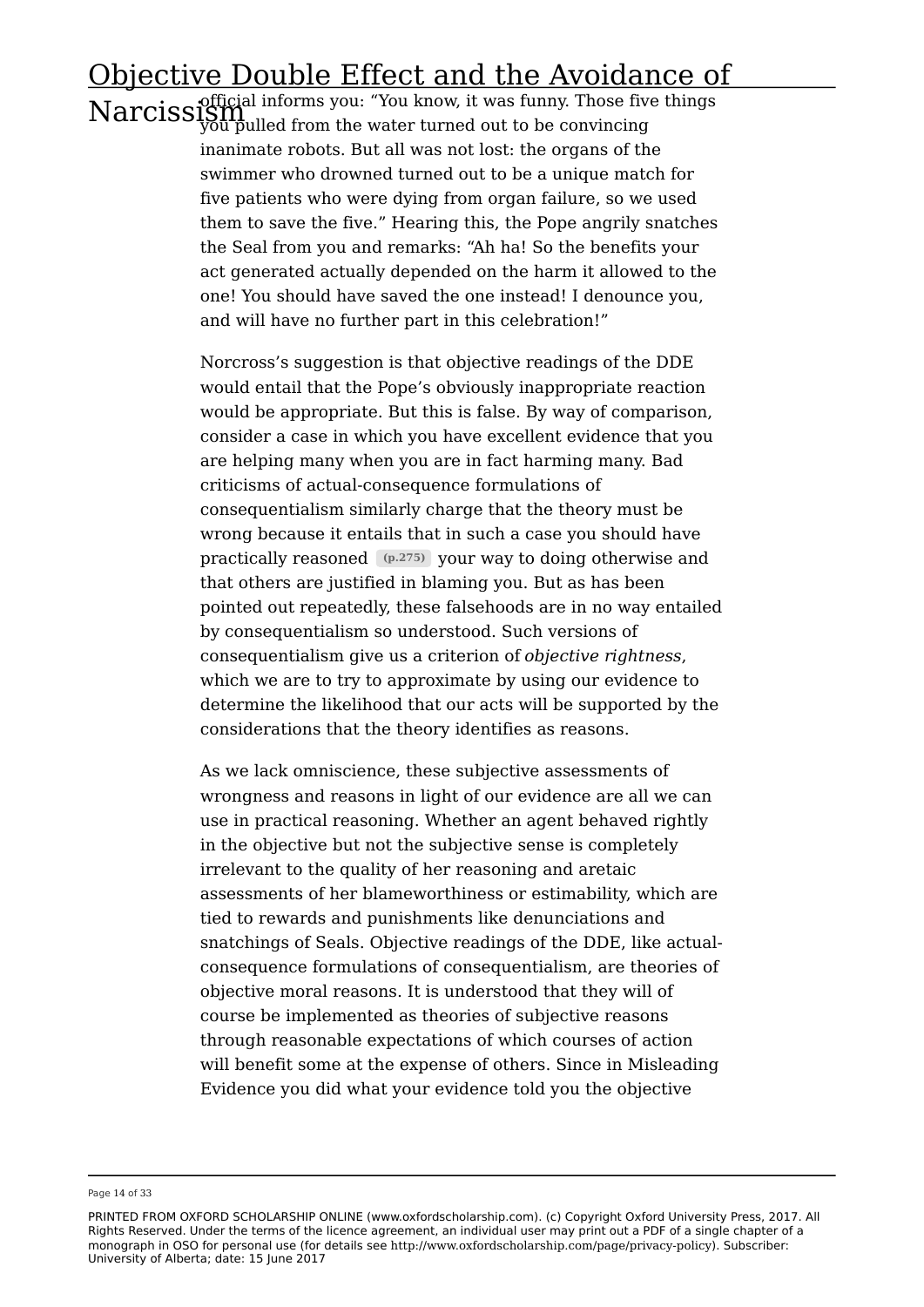$\operatorname{Narcissim}_{\mathrm{sym}}^{\mathrm{official}}$  informs you: "You know, it was funny. Those five things  $\operatorname{Narcissim}_{\mathrm{sym}}$ you pulled from the water turned out to be convincing inanimate robots. But all was not lost: the organs of the swimmer who drowned turned out to be a unique match for five patients who were dying from organ failure, so we used them to save the five." Hearing this, the Pope angrily snatches the Seal from you and remarks: "Ah ha! So the benefits your act generated actually depended on the harm it allowed to the one! You should have saved the one instead! I denounce you, and will have no further part in this celebration!"

> Norcross's suggestion is that objective readings of the DDE would entail that the Pope's obviously inappropriate reaction would be appropriate. But this is false. By way of comparison, consider a case in which you have excellent evidence that you are helping many when you are in fact harming many. Bad criticisms of actual-consequence formulations of consequentialism similarly charge that the theory must be wrong because it entails that in such a case you should have  $\bm{{\rm practically}}$  reasoned  $(p.275)$  your way to doing otherwise and that others are justified in blaming you. But as has been pointed out repeatedly, these falsehoods are in no way entailed by consequentialism so understood. Such versions of consequentialism give us a criterion of *objective rightness*, which we are to try to approximate by using our evidence to determine the likelihood that our acts will be supported by the considerations that the theory identifies as reasons.

As we lack omniscience, these subjective assessments of wrongness and reasons in light of our evidence are all we can use in practical reasoning. Whether an agent behaved rightly in the objective but not the subjective sense is completely irrelevant to the quality of her reasoning and aretaic assessments of her blameworthiness or estimability, which are tied to rewards and punishments like denunciations and snatchings of Seals. Objective readings of the DDE, like actualconsequence formulations of consequentialism, are theories of objective moral reasons. It is understood that they will of course be implemented as theories of subjective reasons through reasonable expectations of which courses of action will benefit some at the expense of others. Since in Misleading Evidence you did what your evidence told you the objective

Page 14 of 33

PRINTED FROM OXFORD SCHOLARSHIP ONLINE (www.oxfordscholarship.com). (c) Copyright Oxford University Press, 2017. All Rights Reserved. Under the terms of the licence agreement, an individual user may print out a PDF of a single chapter of a monograph in OSO for personal use (for details see http://www.oxfordscholarship.com/page/privacy-policy). Subscriber: University of Alberta; date: 15 June 2017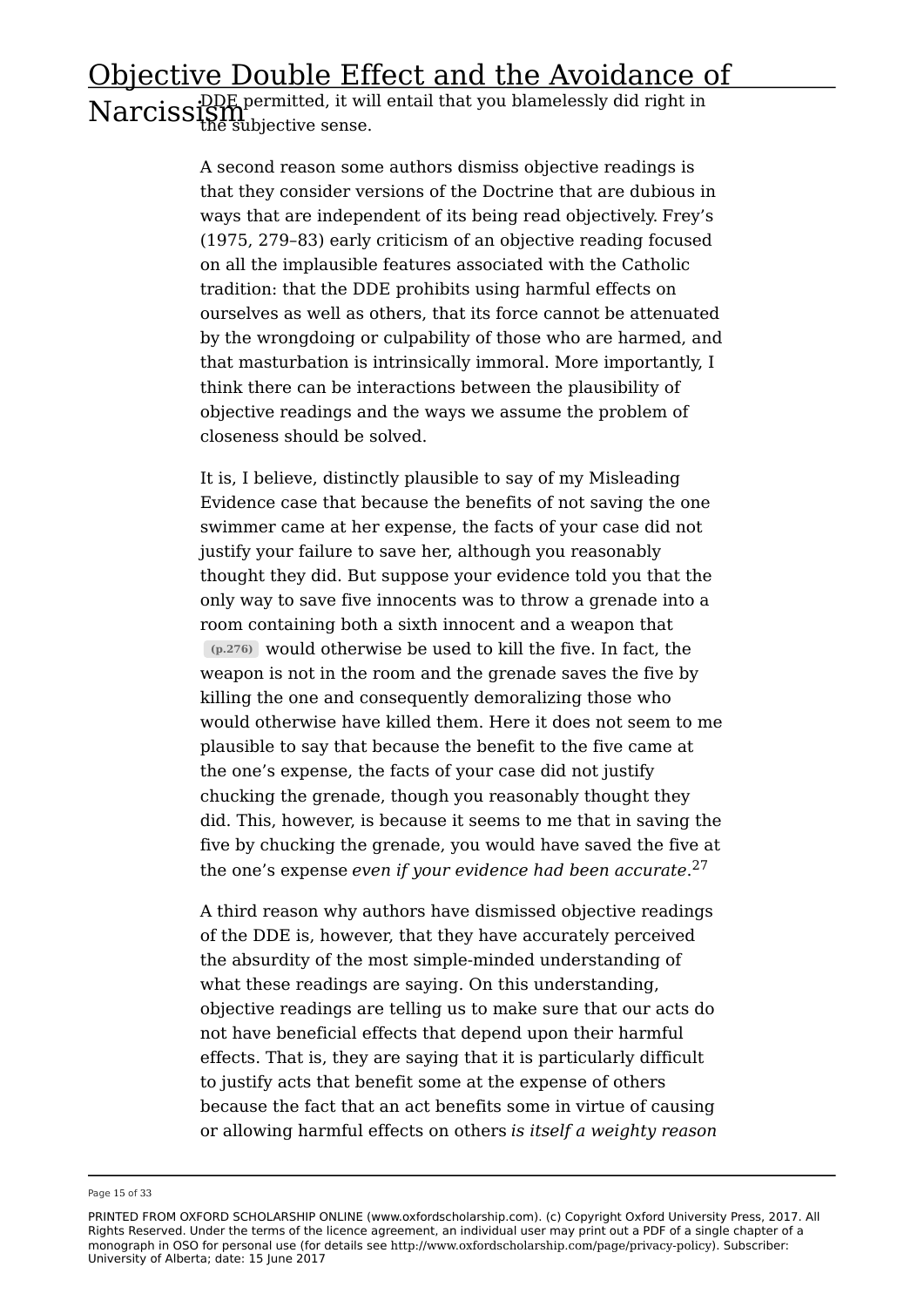$\rm Narcissi_S\rm \mathit{m}^{DDE}_{\rm subiective\; sense}$ the subjective sense.

> A second reason some authors dismiss objective readings is that they consider versions of the Doctrine that are dubious in ways that are independent of its being read objectively. Frey's (1975, 279–83) early criticism of an objective reading focused on all the implausible features associated with the Catholic tradition: that the DDE prohibits using harmful effects on ourselves as well as others, that its force cannot be attenuated by the wrongdoing or culpability of those who are harmed, and that masturbation is intrinsically immoral. More importantly, I think there can be interactions between the plausibility of objective readings and the ways we assume the problem of closeness should be solved.

It is, I believe, distinctly plausible to say of my Misleading Evidence case that because the benefits of not saving the one swimmer came at her expense, the facts of your case did not justify your failure to save her, although you reasonably thought they did. But suppose your evidence told you that the only way to save five innocents was to throw a grenade into a room containing both a sixth innocent and a weapon that would otherwise be used to kill the five. In fact, the **(p.276)** weapon is not in the room and the grenade saves the five by killing the one and consequently demoralizing those who would otherwise have killed them. Here it does not seem to me plausible to say that because the benefit to the five came at the one's expense, the facts of your case did not justify chucking the grenade, though you reasonably thought they did. This, however, is because it seems to me that in saving the five by chucking the grenade, you would have saved the five at the one's expense *even if your evidence had been accurate*.<sup>27</sup>

A third reason why authors have dismissed objective readings of the DDE is, however, that they have accurately perceived the absurdity of the most simple-minded understanding of what these readings are saying. On this understanding, objective readings are telling us to make sure that our acts do not have beneficial effects that depend upon their harmful effects. That is, they are saying that it is particularly difficult to justify acts that benefit some at the expense of others because the fact that an act benefits some in virtue of causing or allowing harmful effects on others *is itself a weighty reason*

Page 15 of 33

PRINTED FROM OXFORD SCHOLARSHIP ONLINE (www.oxfordscholarship.com). (c) Copyright Oxford University Press, 2017. All Rights Reserved. Under the terms of the licence agreement, an individual user may print out a PDF of a single chapter of a monograph in OSO for personal use (for details see http://www.oxfordscholarship.com/page/privacy-policy). Subscriber: University of Alberta; date: 15 June 2017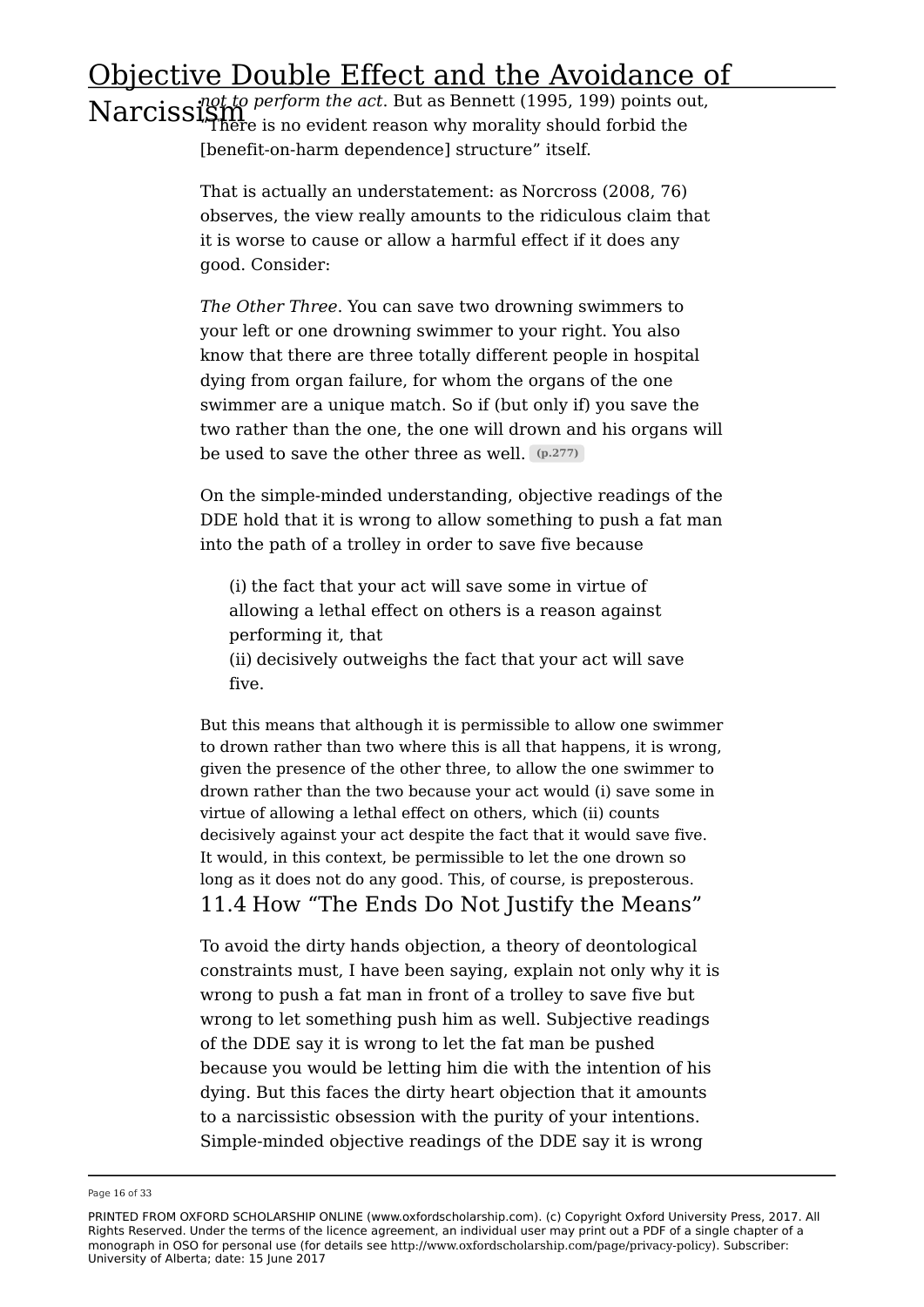$\operatorname{Narcissim}^{not\ to\ perform\ the\ act.\ But\ as\ Bennett\ (1995, 199) \ points\ out,\ Narcissim\_{here\ is\ no\ evident\ reason\ why\ morality\ should\ forbid\ the}$ "There is no evident reason why morality should forbid the [benefit-on-harm dependence] structure" itself.

> That is actually an understatement: as Norcross (2008, 76) observes, the view really amounts to the ridiculous claim that it is worse to cause or allow a harmful effect if it does any good. Consider:

*The Other Three*. You can save two drowning swimmers to your left or one drowning swimmer to your right. You also know that there are three totally different people in hospital dying from organ failure, for whom the organs of the one swimmer are a unique match. So if (but only if) you save the two rather than the one, the one will drown and his organs will be used to save the other three as well. **(p.277)**

On the simple-minded understanding, objective readings of the DDE hold that it is wrong to allow something to push a fat man into the path of a trolley in order to save five because

(i) the fact that your act will save some in virtue of allowing a lethal effect on others is a reason against performing it, that

(ii) decisively outweighs the fact that your act will save five.

But this means that although it is permissible to allow one swimmer to drown rather than two where this is all that happens, it is wrong, given the presence of the other three, to allow the one swimmer to drown rather than the two because your act would (i) save some in virtue of allowing a lethal effect on others, which (ii) counts decisively against your act despite the fact that it would save five. It would, in this context, be permissible to let the one drown so long as it does not do any good. This, of course, is preposterous. 11.4 How "The Ends Do Not Justify the Means"

To avoid the dirty hands objection, a theory of deontological constraints must, I have been saying, explain not only why it is wrong to push a fat man in front of a trolley to save five but wrong to let something push him as well. Subjective readings of the DDE say it is wrong to let the fat man be pushed because you would be letting him die with the intention of his dying. But this faces the dirty heart objection that it amounts to a narcissistic obsession with the purity of your intentions. Simple-minded objective readings of the DDE say it is wrong

Page 16 of 33

PRINTED FROM OXFORD SCHOLARSHIP ONLINE (www.oxfordscholarship.com). (c) Copyright Oxford University Press, 2017. All Rights Reserved. Under the terms of the licence agreement, an individual user may print out a PDF of a single chapter of a monograph in OSO for personal use (for details see http://www.oxfordscholarship.com/page/privacy-policy). Subscriber: University of Alberta; date: 15 June 2017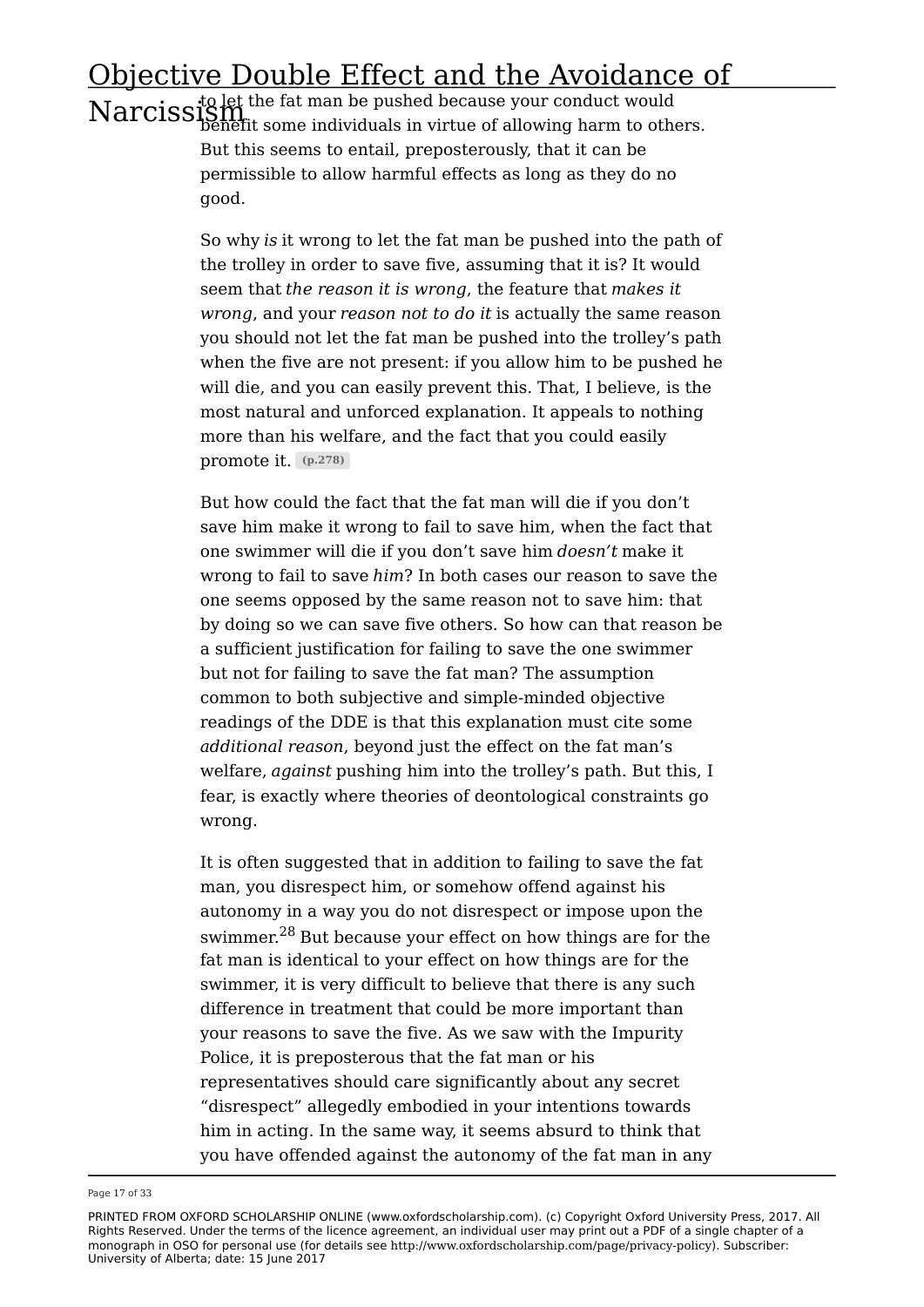$\mathrm{Narcissi}_{\mathrm{hongit}}^{\mathrm{to} \mathrm{\,let}}$  the fat man be pushed because your conduct would  $\mathrm{Narcissi}_{\mathrm{hongit}}^{\mathrm{to} \mathrm{\,let}}$  some individuals in virtue of allowing harm to others benefit some individuals in virtue of allowing harm to others. But this seems to entail, preposterously, that it can be permissible to allow harmful effects as long as they do no good.

> So why *is* it wrong to let the fat man be pushed into the path of the trolley in order to save five, assuming that it is? It would seem that *the reason it is wrong*, the feature that *makes it wrong*, and your *reason not to do it* is actually the same reason you should not let the fat man be pushed into the trolley's path when the five are not present: if you allow him to be pushed he will die, and you can easily prevent this. That, I believe, is the most natural and unforced explanation. It appeals to nothing more than his welfare, and the fact that you could easily promote it. **(p.278)**

> But how could the fact that the fat man will die if you don't save him make it wrong to fail to save him, when the fact that one swimmer will die if you don't save him *doesn't* make it wrong to fail to save *him*? In both cases our reason to save the one seems opposed by the same reason not to save him: that by doing so we can save five others. So how can that reason be a sufficient justification for failing to save the one swimmer but not for failing to save the fat man? The assumption common to both subjective and simple-minded objective readings of the DDE is that this explanation must cite some *additional reason*, beyond just the effect on the fat man's welfare, *against* pushing him into the trolley's path. But this, I fear, is exactly where theories of deontological constraints go wrong.

It is often suggested that in addition to failing to save the fat man, you disrespect him, or somehow offend against his autonomy in a way you do not disrespect or impose upon the swimmer.<sup>28</sup> But because your effect on how things are for the fat man is identical to your effect on how things are for the swimmer, it is very difficult to believe that there is any such difference in treatment that could be more important than your reasons to save the five. As we saw with the Impurity Police, it is preposterous that the fat man or his representatives should care significantly about any secret "disrespect" allegedly embodied in your intentions towards him in acting. In the same way, it seems absurd to think that you have offended against the autonomy of the fat man in any

Page 17 of 33

PRINTED FROM OXFORD SCHOLARSHIP ONLINE (www.oxfordscholarship.com). (c) Copyright Oxford University Press, 2017. All Rights Reserved. Under the terms of the licence agreement, an individual user may print out a PDF of a single chapter of a monograph in OSO for personal use (for details see http://www.oxfordscholarship.com/page/privacy-policy). Subscriber: University of Alberta; date: 15 June 2017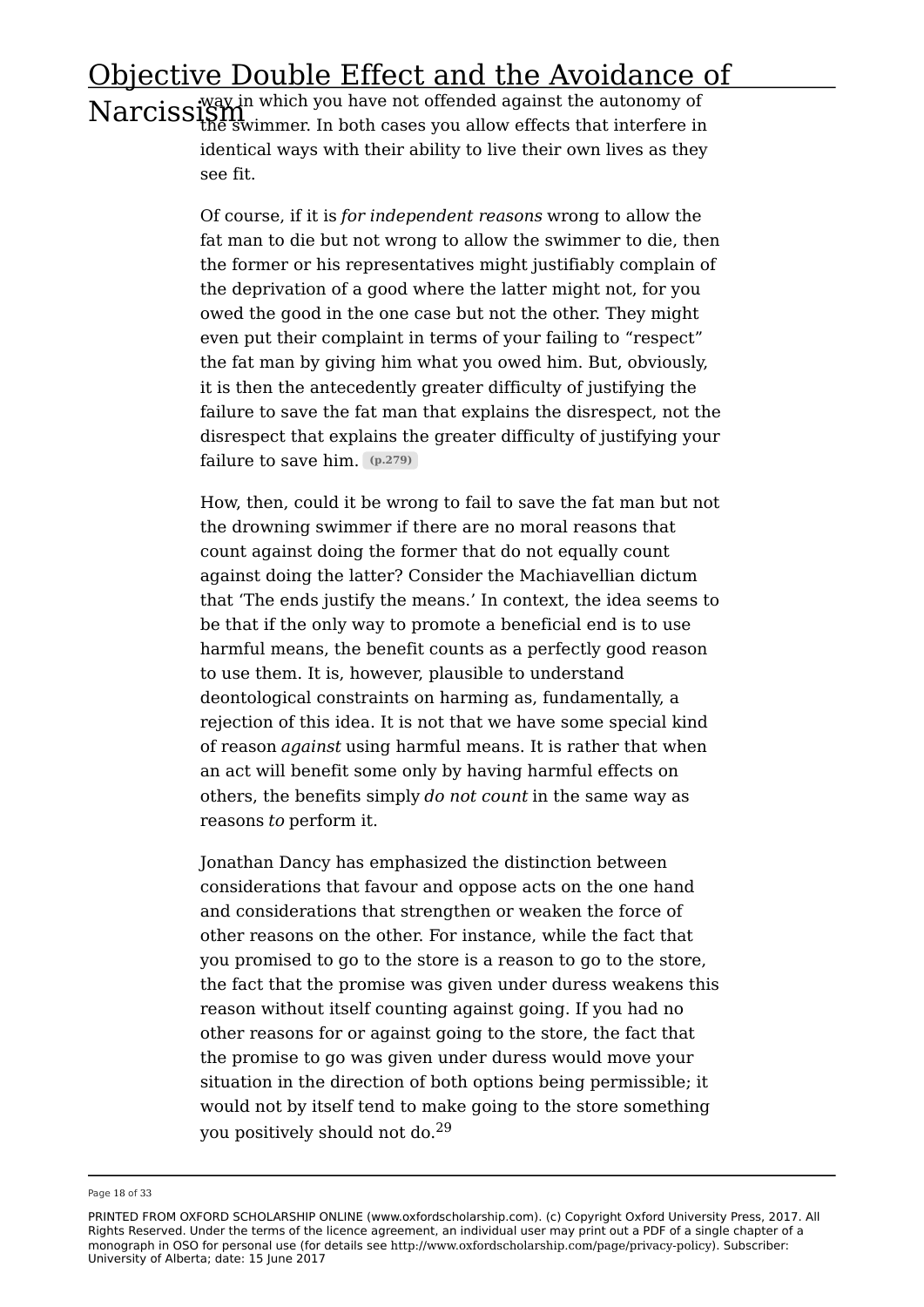$\rm Narcissi \ssim m^{\rm{day\,in}}$  which you have not offended against the autonomy of  $\rm Narcissi \ssim m^{\rm{day\,in}}$  in both cases you allow effects that interfere in the swimmer. In both cases you allow effects that interfere in identical ways with their ability to live their own lives as they see fit.

> Of course, if it is *for independent reasons* wrong to allow the fat man to die but not wrong to allow the swimmer to die, then the former or his representatives might justifiably complain of the deprivation of a good where the latter might not, for you owed the good in the one case but not the other. They might even put their complaint in terms of your failing to "respect" the fat man by giving him what you owed him. But, obviously, it is then the antecedently greater difficulty of justifying the failure to save the fat man that explains the disrespect, not the disrespect that explains the greater difficulty of justifying your failure to save him. **(p.279)**

> How, then, could it be wrong to fail to save the fat man but not the drowning swimmer if there are no moral reasons that count against doing the former that do not equally count against doing the latter? Consider the Machiavellian dictum that 'The ends justify the means.' In context, the idea seems to be that if the only way to promote a beneficial end is to use harmful means, the benefit counts as a perfectly good reason to use them. It is, however, plausible to understand deontological constraints on harming as, fundamentally, a rejection of this idea. It is not that we have some special kind of reason *against* using harmful means. It is rather that when an act will benefit some only by having harmful effects on others, the benefits simply *do not count* in the same way as reasons *to* perform it.

> Jonathan Dancy has emphasized the distinction between considerations that favour and oppose acts on the one hand and considerations that strengthen or weaken the force of other reasons on the other. For instance, while the fact that you promised to go to the store is a reason to go to the store, the fact that the promise was given under duress weakens this reason without itself counting against going. If you had no other reasons for or against going to the store, the fact that the promise to go was given under duress would move your situation in the direction of both options being permissible; it would not by itself tend to make going to the store something you positively should not do.<sup>29</sup>

Page 18 of 33

PRINTED FROM OXFORD SCHOLARSHIP ONLINE (www.oxfordscholarship.com). (c) Copyright Oxford University Press, 2017. All Rights Reserved. Under the terms of the licence agreement, an individual user may print out a PDF of a single chapter of a monograph in OSO for personal use (for details see http://www.oxfordscholarship.com/page/privacy-policy). Subscriber: University of Alberta; date: 15 June 2017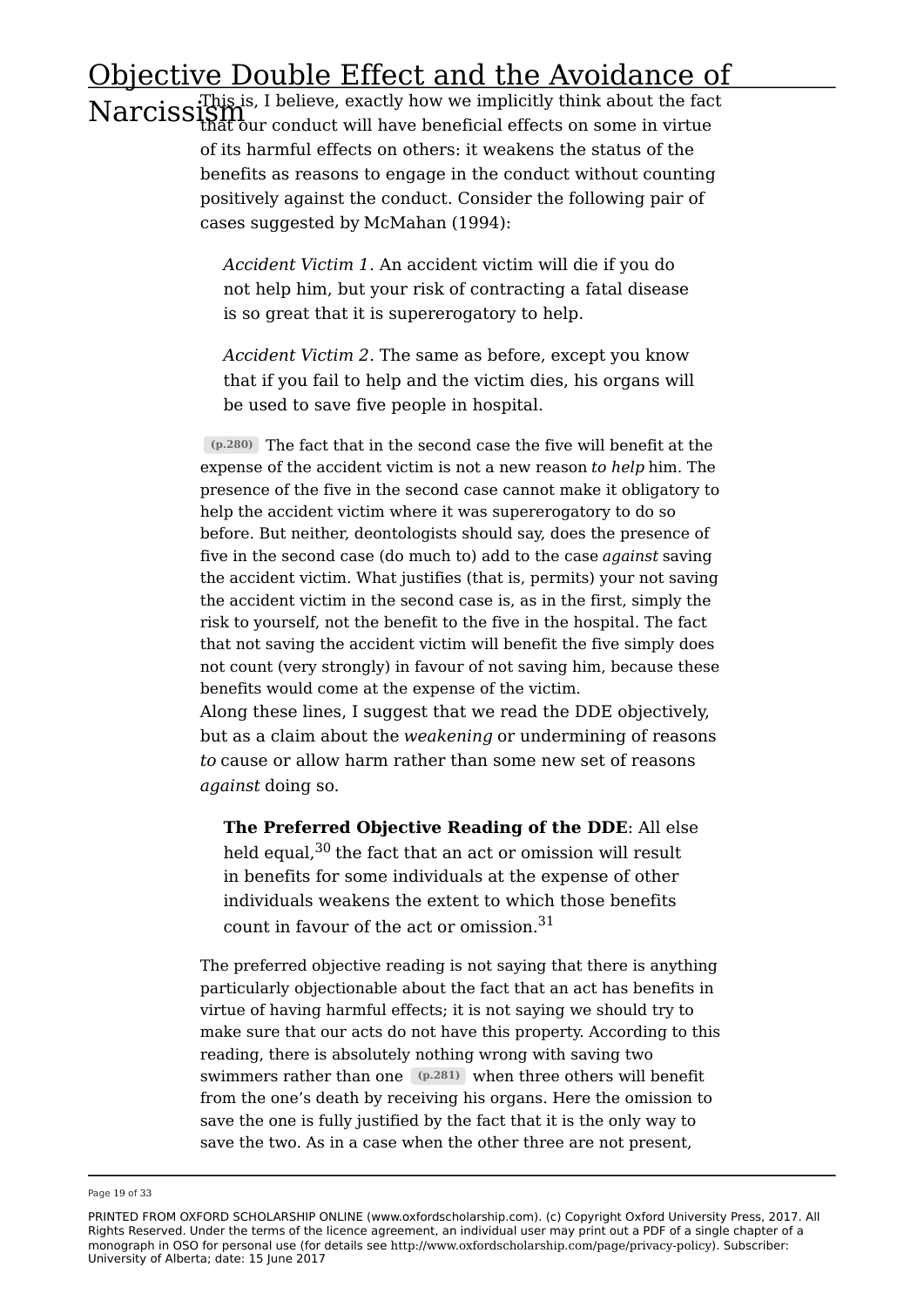$\text{Narcissi}\$  This is, I believe, exactly how we implicitly think about the fact  $\text{Narcissi}\$ that our conduct will have beneficial effects on some in virtue of its harmful effects on others: it weakens the status of the benefits as reasons to engage in the conduct without counting positively against the conduct. Consider the following pair of cases suggested by McMahan (1994):

> *Accident Victim 1*. An accident victim will die if you do not help him, but your risk of contracting a fatal disease is so great that it is supererogatory to help.

> *Accident Victim 2*. The same as before, except you know that if you fail to help and the victim dies, his organs will be used to save five people in hospital.

 $(p.280)$  The fact that in the second case the five will benefit at the expense of the accident victim is not a new reason *to help* him. The presence of the five in the second case cannot make it obligatory to help the accident victim where it was supererogatory to do so before. But neither, deontologists should say, does the presence of five in the second case (do much to) add to the case *against* saving the accident victim. What justifies (that is, permits) your not saving the accident victim in the second case is, as in the first, simply the risk to yourself, not the benefit to the five in the hospital. The fact that not saving the accident victim will benefit the five simply does not count (very strongly) in favour of not saving him, because these benefits would come at the expense of the victim.

Along these lines, I suggest that we read the DDE objectively, but as a claim about the *weakening* or undermining of reasons *to* cause or allow harm rather than some new set of reasons *against* doing so.

**The Preferred Objective Reading of the DDE**: All else held equal,  $30$  the fact that an act or omission will result in benefits for some individuals at the expense of other individuals weakens the extent to which those benefits count in favour of the act or omission.<sup>31</sup>

The preferred objective reading is not saying that there is anything particularly objectionable about the fact that an act has benefits in virtue of having harmful effects; it is not saying we should try to make sure that our acts do not have this property. According to this reading, there is absolutely nothing wrong with saving two swimmers rather than one  $(\mathbf{p}.\mathbf{281})$  when three others will benefit from the one's death by receiving his organs. Here the omission to save the one is fully justified by the fact that it is the only way to save the two. As in a case when the other three are not present,

Page 19 of 33

PRINTED FROM OXFORD SCHOLARSHIP ONLINE (www.oxfordscholarship.com). (c) Copyright Oxford University Press, 2017. All Rights Reserved. Under the terms of the licence agreement, an individual user may print out a PDF of a single chapter of a monograph in OSO for personal use (for details see http://www.oxfordscholarship.com/page/privacy-policy). Subscriber: University of Alberta; date: 15 June 2017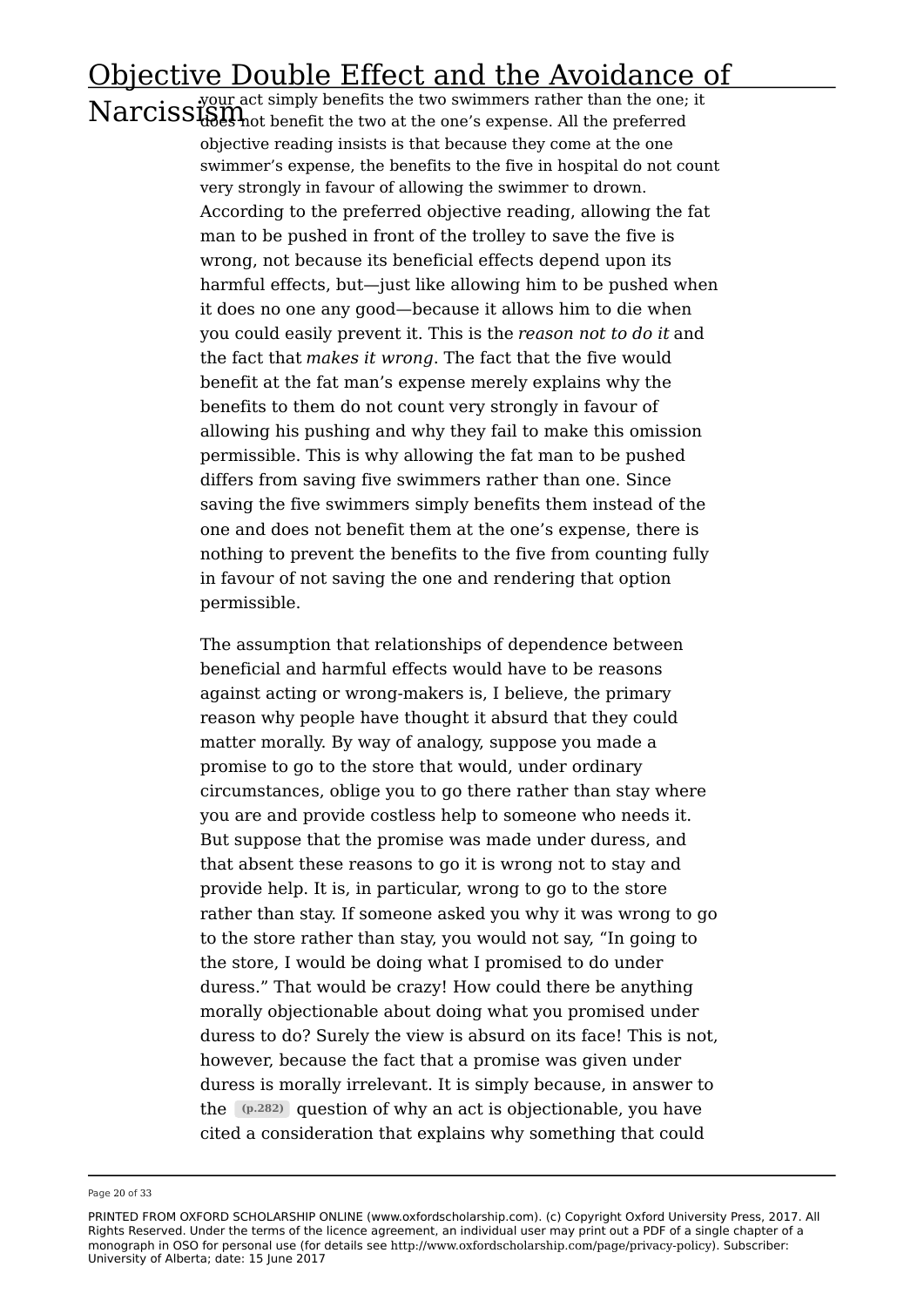$\operatorname{Narcissim}^{\text{your act simply benefits the two swimmers rather than the one; it}} {\rm Narcissim}^{\text{your act simply benefits the two swimmers rather than the one; it}}$ does not benefit the two at the one's expense. All the preferred objective reading insists is that because they come at the one swimmer's expense, the benefits to the five in hospital do not count very strongly in favour of allowing the swimmer to drown. According to the preferred objective reading, allowing the fat man to be pushed in front of the trolley to save the five is wrong, not because its beneficial effects depend upon its harmful effects, but—just like allowing him to be pushed when it does no one any good—because it allows him to die when you could easily prevent it. This is the *reason not to do it* and the fact that *makes it wrong*. The fact that the five would benefit at the fat man's expense merely explains why the benefits to them do not count very strongly in favour of allowing his pushing and why they fail to make this omission permissible. This is why allowing the fat man to be pushed differs from saving five swimmers rather than one. Since saving the five swimmers simply benefits them instead of the one and does not benefit them at the one's expense, there is nothing to prevent the benefits to the five from counting fully in favour of not saving the one and rendering that option permissible.

> The assumption that relationships of dependence between beneficial and harmful effects would have to be reasons against acting or wrong-makers is, I believe, the primary reason why people have thought it absurd that they could matter morally. By way of analogy, suppose you made a promise to go to the store that would, under ordinary circumstances, oblige you to go there rather than stay where you are and provide costless help to someone who needs it. But suppose that the promise was made under duress, and that absent these reasons to go it is wrong not to stay and provide help. It is, in particular, wrong to go to the store rather than stay. If someone asked you why it was wrong to go to the store rather than stay, you would not say, "In going to the store, I would be doing what I promised to do under duress." That would be crazy! How could there be anything morally objectionable about doing what you promised under duress to do? Surely the view is absurd on its face! This is not, however, because the fact that a promise was given under duress is morally irrelevant. It is simply because, in answer to the (p.282) question of why an act is objectionable, you have cited a consideration that explains why something that could

Page 20 of 33

PRINTED FROM OXFORD SCHOLARSHIP ONLINE (www.oxfordscholarship.com). (c) Copyright Oxford University Press, 2017. All Rights Reserved. Under the terms of the licence agreement, an individual user may print out a PDF of a single chapter of a monograph in OSO for personal use (for details see http://www.oxfordscholarship.com/page/privacy-policy). Subscriber: University of Alberta; date: 15 June 2017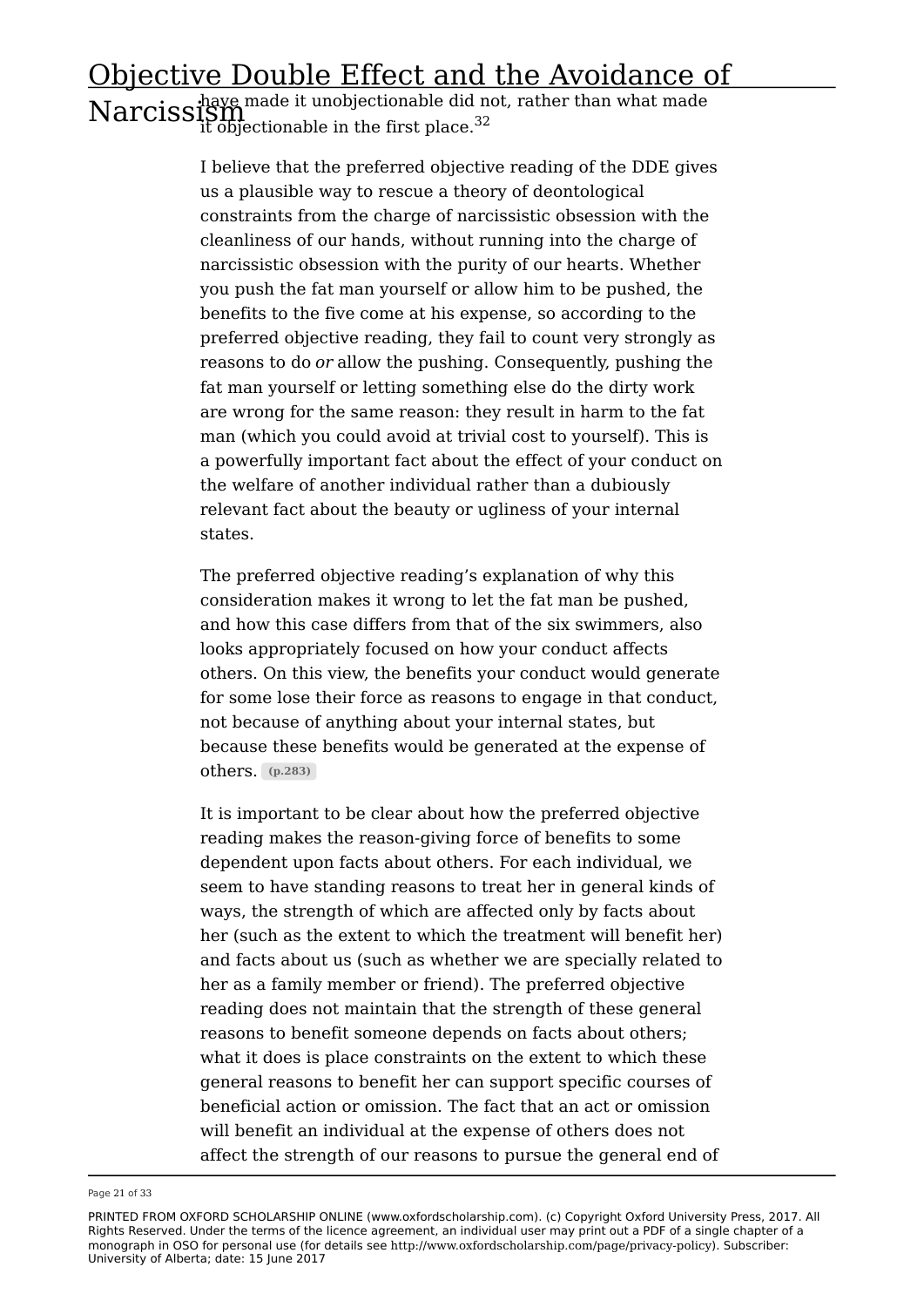$\rm Narcissi, \substack{have \text{ made it unobjectiveable did not, rather than what made}}$ it objectionable in the first place. $32$ 

> I believe that the preferred objective reading of the DDE gives us a plausible way to rescue a theory of deontological constraints from the charge of narcissistic obsession with the cleanliness of our hands, without running into the charge of narcissistic obsession with the purity of our hearts. Whether you push the fat man yourself or allow him to be pushed, the benefits to the five come at his expense, so according to the preferred objective reading, they fail to count very strongly as reasons to do *or* allow the pushing. Consequently, pushing the fat man yourself or letting something else do the dirty work are wrong for the same reason: they result in harm to the fat man (which you could avoid at trivial cost to yourself). This is a powerfully important fact about the effect of your conduct on the welfare of another individual rather than a dubiously relevant fact about the beauty or ugliness of your internal states.

> The preferred objective reading's explanation of why this consideration makes it wrong to let the fat man be pushed, and how this case differs from that of the six swimmers, also looks appropriately focused on how your conduct affects others. On this view, the benefits your conduct would generate for some lose their force as reasons to engage in that conduct, not because of anything about your internal states, but because these benefits would be generated at the expense of others. **(p.283)**

> It is important to be clear about how the preferred objective reading makes the reason-giving force of benefits to some dependent upon facts about others. For each individual, we seem to have standing reasons to treat her in general kinds of ways, the strength of which are affected only by facts about her (such as the extent to which the treatment will benefit her) and facts about us (such as whether we are specially related to her as a family member or friend). The preferred objective reading does not maintain that the strength of these general reasons to benefit someone depends on facts about others; what it does is place constraints on the extent to which these general reasons to benefit her can support specific courses of beneficial action or omission. The fact that an act or omission will benefit an individual at the expense of others does not affect the strength of our reasons to pursue the general end of

Page 21 of 33

PRINTED FROM OXFORD SCHOLARSHIP ONLINE (www.oxfordscholarship.com). (c) Copyright Oxford University Press, 2017. All Rights Reserved. Under the terms of the licence agreement, an individual user may print out a PDF of a single chapter of a monograph in OSO for personal use (for details see http://www.oxfordscholarship.com/page/privacy-policy). Subscriber: University of Alberta; date: 15 June 2017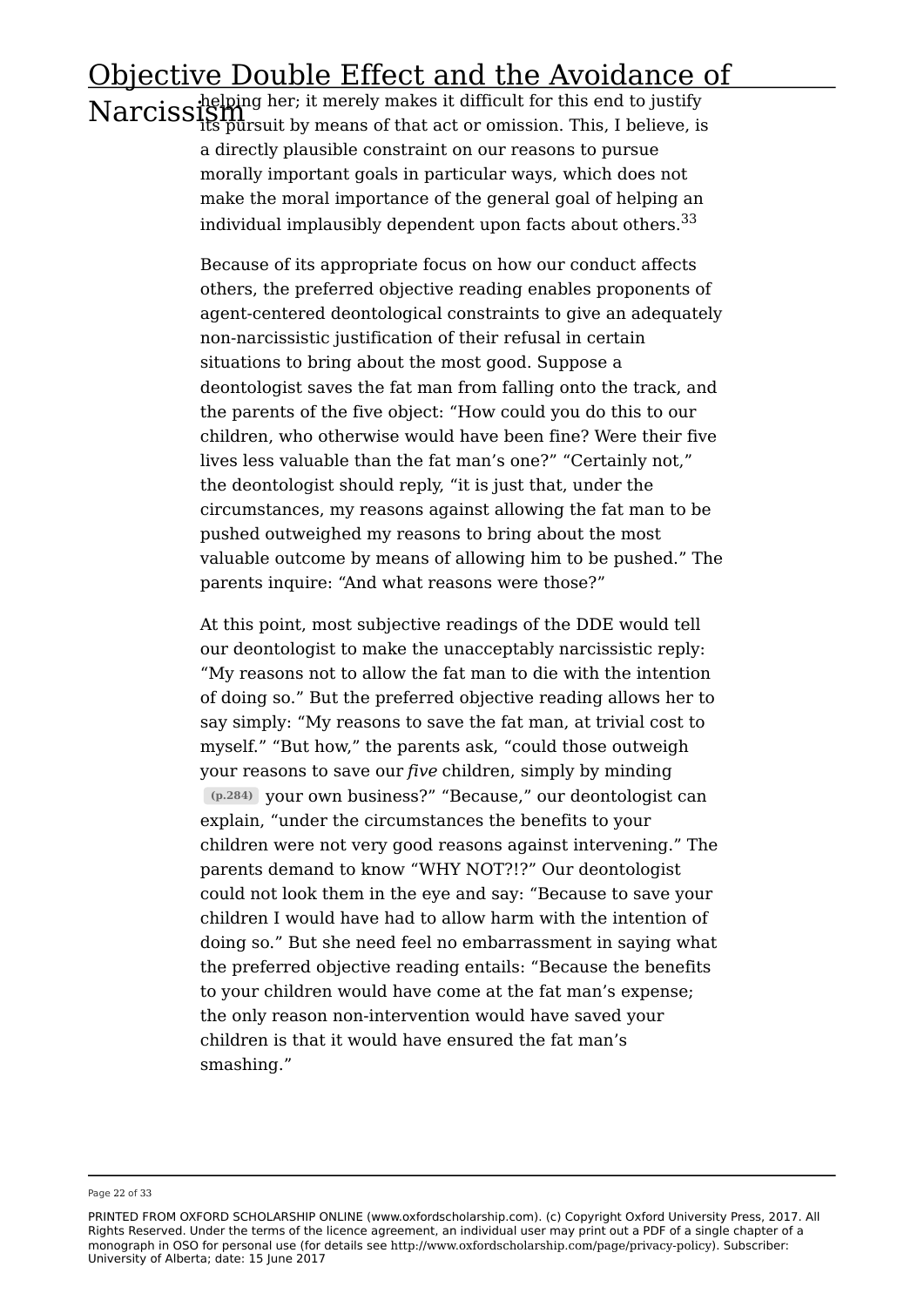$\rm Narcissi_Sim$  helping her; it merely makes it difficult for this end to justify<br> $\rm Narcissi_Sim$  mirsuit by means of that act or omission. This I believe, is its pursuit by means of that act or omission. This, I believe, is a directly plausible constraint on our reasons to pursue morally important goals in particular ways, which does not make the moral importance of the general goal of helping an individual implausibly dependent upon facts about others.  $33$ 

> Because of its appropriate focus on how our conduct affects others, the preferred objective reading enables proponents of agent-centered deontological constraints to give an adequately non-narcissistic justification of their refusal in certain situations to bring about the most good. Suppose a deontologist saves the fat man from falling onto the track, and the parents of the five object: "How could you do this to our children, who otherwise would have been fine? Were their five lives less valuable than the fat man's one?" "Certainly not," the deontologist should reply, "it is just that, under the circumstances, my reasons against allowing the fat man to be pushed outweighed my reasons to bring about the most valuable outcome by means of allowing him to be pushed." The parents inquire: "And what reasons were those?"

At this point, most subjective readings of the DDE would tell our deontologist to make the unacceptably narcissistic reply: "My reasons not to allow the fat man to die with the intention of doing so." But the preferred objective reading allows her to say simply: "My reasons to save the fat man, at trivial cost to myself." "But how," the parents ask, "could those outweigh your reasons to save our *five* children, simply by minding your own business?" "Because," our deontologist can **(p.284)** explain, "under the circumstances the benefits to your children were not very good reasons against intervening." The parents demand to know "WHY NOT?!?" Our deontologist could not look them in the eye and say: "Because to save your children I would have had to allow harm with the intention of doing so." But she need feel no embarrassment in saying what the preferred objective reading entails: "Because the benefits to your children would have come at the fat man's expense; the only reason non-intervention would have saved your children is that it would have ensured the fat man's smashing."

Page 22 of 33

PRINTED FROM OXFORD SCHOLARSHIP ONLINE (www.oxfordscholarship.com). (c) Copyright Oxford University Press, 2017. All Rights Reserved. Under the terms of the licence agreement, an individual user may print out a PDF of a single chapter of a monograph in OSO for personal use (for details see http://www.oxfordscholarship.com/page/privacy-policy). Subscriber: University of Alberta; date: 15 June 2017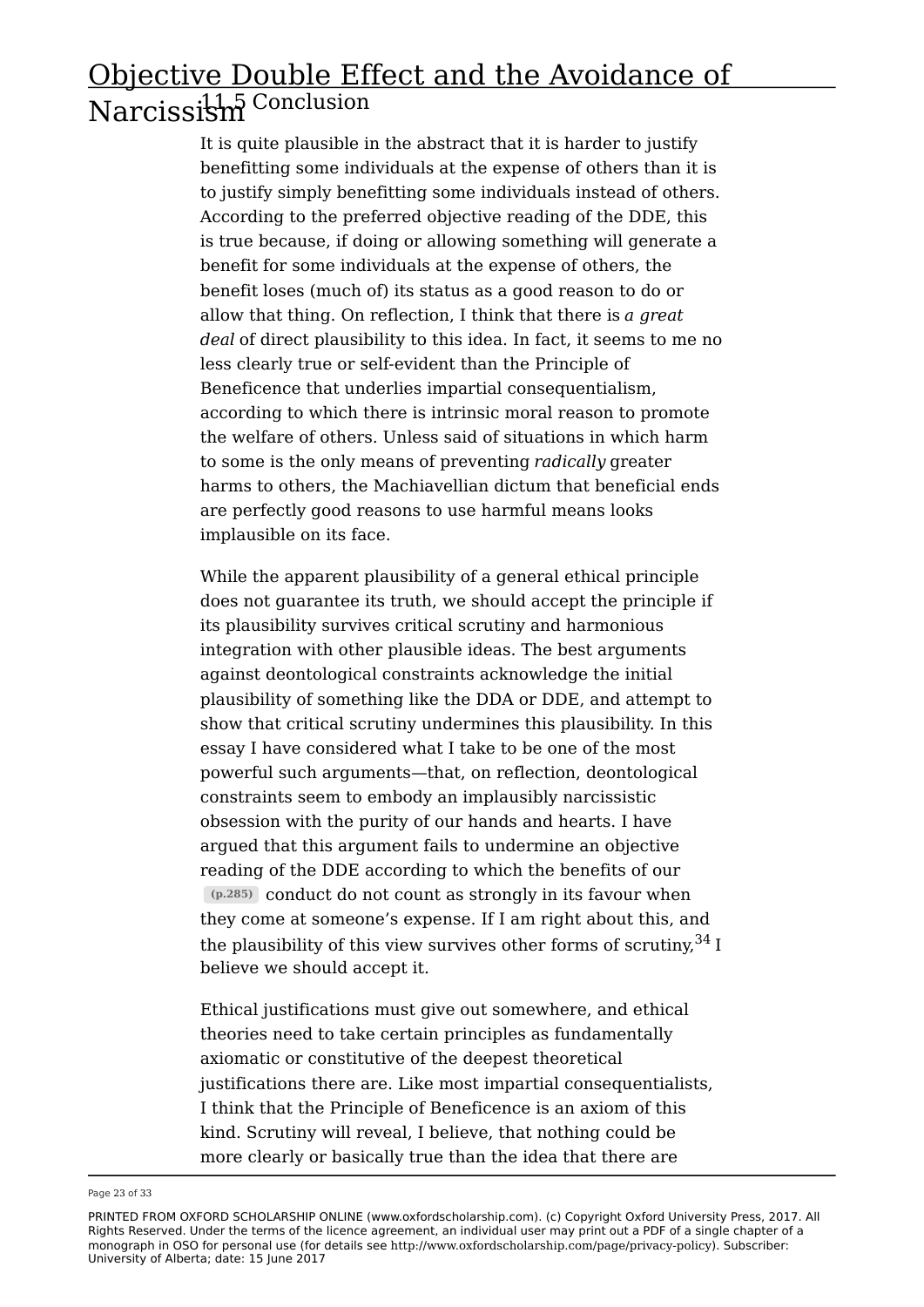#### Objective Double Effect and the Avoidance of Narcissism<sup>Conclusion</sup>

It is quite plausible in the abstract that it is harder to justify benefitting some individuals at the expense of others than it is to justify simply benefitting some individuals instead of others. According to the preferred objective reading of the DDE, this is true because, if doing or allowing something will generate a benefit for some individuals at the expense of others, the benefit loses (much of) its status as a good reason to do or allow that thing. On reflection, I think that there is *a great deal* of direct plausibility to this idea. In fact, it seems to me no less clearly true or self-evident than the Principle of Beneficence that underlies impartial consequentialism, according to which there is intrinsic moral reason to promote the welfare of others. Unless said of situations in which harm to some is the only means of preventing *radically* greater harms to others, the Machiavellian dictum that beneficial ends are perfectly good reasons to use harmful means looks implausible on its face.

While the apparent plausibility of a general ethical principle does not guarantee its truth, we should accept the principle if its plausibility survives critical scrutiny and harmonious integration with other plausible ideas. The best arguments against deontological constraints acknowledge the initial plausibility of something like the DDA or DDE, and attempt to show that critical scrutiny undermines this plausibility. In this essay I have considered what I take to be one of the most powerful such arguments—that, on reflection, deontological constraints seem to embody an implausibly narcissistic obsession with the purity of our hands and hearts. I have argued that this argument fails to undermine an objective reading of the DDE according to which the benefits of our  $(p.285)$  conduct do not count as strongly in its favour when they come at someone's expense. If I am right about this, and the plausibility of this view survives other forms of scrutiny.<sup>34</sup> I believe we should accept it.

Ethical justifications must give out somewhere, and ethical theories need to take certain principles as fundamentally axiomatic or constitutive of the deepest theoretical justifications there are. Like most impartial consequentialists, I think that the Principle of Beneficence is an axiom of this kind. Scrutiny will reveal, I believe, that nothing could be more clearly or basically true than the idea that there are

Page 23 of 33

PRINTED FROM OXFORD SCHOLARSHIP ONLINE (www.oxfordscholarship.com). (c) Copyright Oxford University Press, 2017. All Rights Reserved. Under the terms of the licence agreement, an individual user may print out a PDF of a single chapter of a monograph in OSO for personal use (for details see http://www.oxfordscholarship.com/page/privacy-policy). Subscriber: University of Alberta; date: 15 June 2017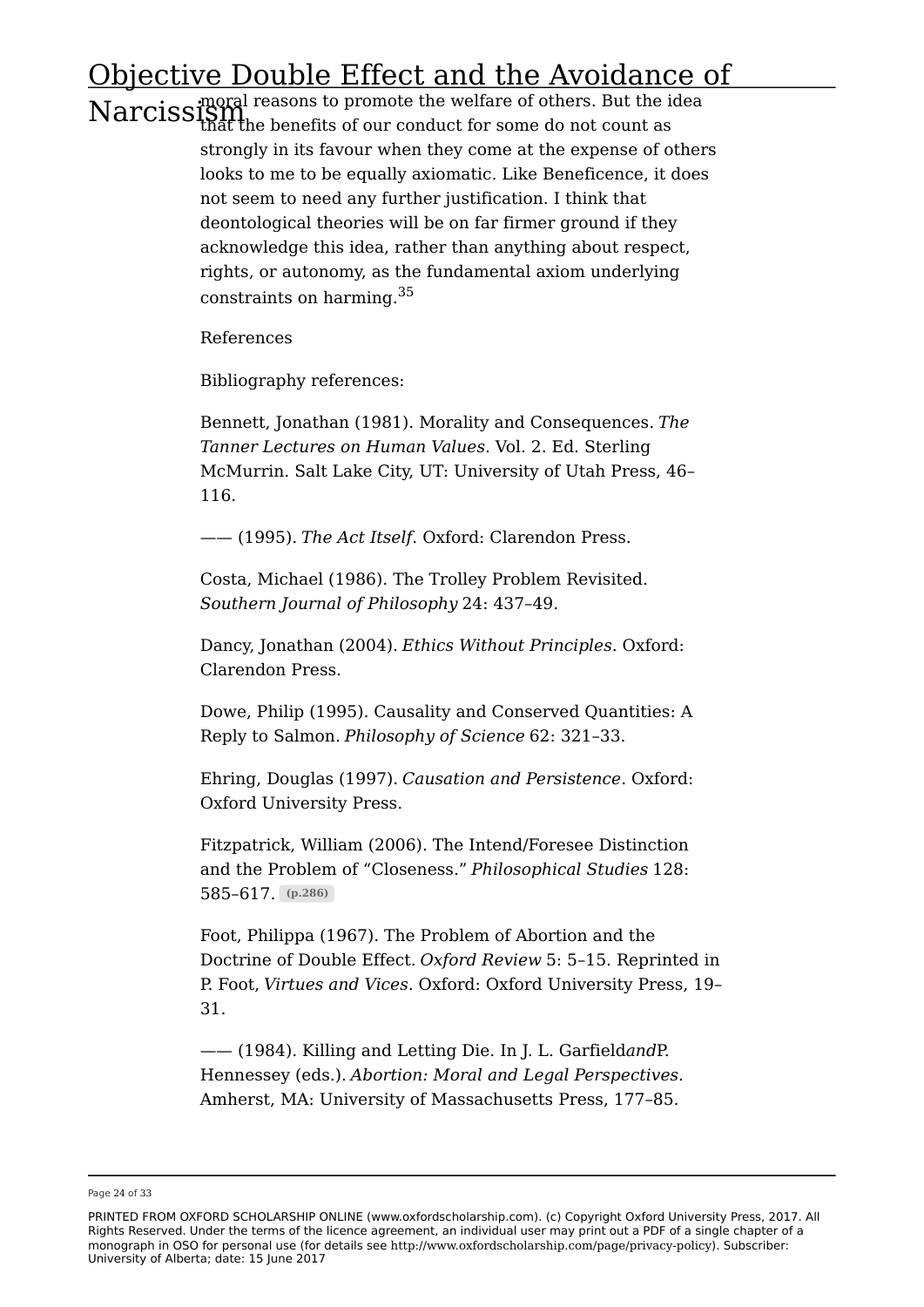$\rm Narcissi \pm 10^{3}$  reasons to promote the welfare of others. But the idea<br> $\rm Narcissi \pm 1^{3}$ that the benefits of our conduct for some do not count as strongly in its favour when they come at the expense of others looks to me to be equally axiomatic. Like Beneficence, it does not seem to need any further justification. I think that deontological theories will be on far firmer ground if they acknowledge this idea, rather than anything about respect, rights, or autonomy, as the fundamental axiom underlying constraints on harming.<sup>35</sup>

References

Bibliography references:

Bennett, Jonathan (1981). Morality and Consequences. *The Tanner Lectures on Human Values*. Vol. 2. Ed. Sterling McMurrin. Salt Lake City, UT: University of Utah Press, 46– 116.

—— (1995). *The Act Itself*. Oxford: Clarendon Press.

Costa, Michael (1986). The Trolley Problem Revisited. *Southern Journal of Philosophy* 24: 437–49.

Dancy, Jonathan (2004). *Ethics Without Principles*. Oxford: Clarendon Press.

Dowe, Philip (1995). Causality and Conserved Quantities: A Reply to Salmon. *Philosophy of Science* 62: 321–33.

Ehring, Douglas (1997). *Causation and Persistence*. Oxford: Oxford University Press.

Fitzpatrick, William (2006). The Intend/Foresee Distinction and the Problem of "Closeness." *Philosophical Studies* 128: 585–617. **(p.286)**

Foot, Philippa (1967). The Problem of Abortion and the Doctrine of Double Effect. *Oxford Review* 5: 5–15. Reprinted in P. Foot, *Virtues and Vices*. Oxford: Oxford University Press, 19– 31.

—— (1984). Killing and Letting Die. In J. L. Garfield*and*P. Hennessey (eds.). *Abortion: Moral and Legal Perspectives*. Amherst, MA: University of Massachusetts Press, 177–85.

Page 24 of 33

PRINTED FROM OXFORD SCHOLARSHIP ONLINE (www.oxfordscholarship.com). (c) Copyright Oxford University Press, 2017. All Rights Reserved. Under the terms of the licence agreement, an individual user may print out a PDF of a single chapter of a monograph in OSO for personal use (for details see http://www.oxfordscholarship.com/page/privacy-policy). Subscriber: University of Alberta; date: 15 June 2017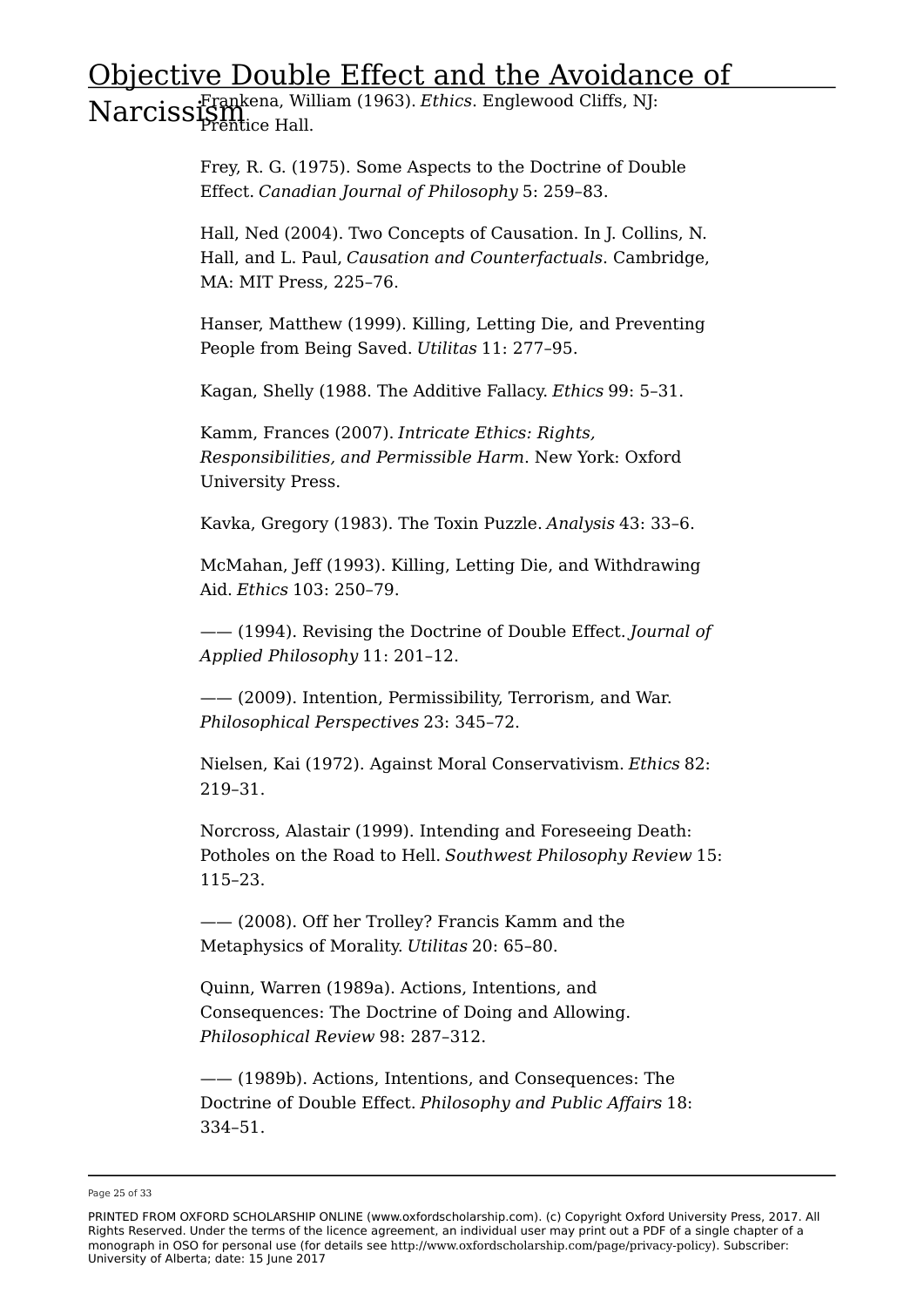Narcissism Frankena, William (1963). *Ethics*. Englewood Cliffs, NJ: Prentice Hall.

> Frey, R. G. (1975). Some Aspects to the Doctrine of Double Effect. *Canadian Journal of Philosophy* 5: 259–83.

Hall, Ned (2004). Two Concepts of Causation. In J. Collins, N. Hall, and L. Paul, *Causation and Counterfactuals*. Cambridge, MA: MIT Press, 225–76.

Hanser, Matthew (1999). Killing, Letting Die, and Preventing People from Being Saved. *Utilitas* 11: 277–95.

Kagan, Shelly (1988. The Additive Fallacy. *Ethics* 99: 5–31.

Kamm, Frances (2007). *Intricate Ethics: Rights, Responsibilities, and Permissible Harm*. New York: Oxford University Press.

Kavka, Gregory (1983). The Toxin Puzzle. *Analysis* 43: 33–6.

McMahan, Jeff (1993). Killing, Letting Die, and Withdrawing Aid. *Ethics* 103: 250–79.

—— (1994). Revising the Doctrine of Double Effect. *Journal of Applied Philosophy* 11: 201–12.

—— (2009). Intention, Permissibility, Terrorism, and War. *Philosophical Perspectives* 23: 345–72.

Nielsen, Kai (1972). Against Moral Conservativism. *Ethics* 82: 219–31.

Norcross, Alastair (1999). Intending and Foreseeing Death: Potholes on the Road to Hell. *Southwest Philosophy Review* 15: 115–23.

—— (2008). Off her Trolley? Francis Kamm and the Metaphysics of Morality. *Utilitas* 20: 65–80.

Quinn, Warren (1989a). Actions, Intentions, and Consequences: The Doctrine of Doing and Allowing. *Philosophical Review* 98: 287–312.

—— (1989b). Actions, Intentions, and Consequences: The Doctrine of Double Effect. *Philosophy and Public Affairs* 18: 334–51.

Page 25 of 33

PRINTED FROM OXFORD SCHOLARSHIP ONLINE (www.oxfordscholarship.com). (c) Copyright Oxford University Press, 2017. All Rights Reserved. Under the terms of the licence agreement, an individual user may print out a PDF of a single chapter of a monograph in OSO for personal use (for details see http://www.oxfordscholarship.com/page/privacy-policy). Subscriber: University of Alberta; date: 15 June 2017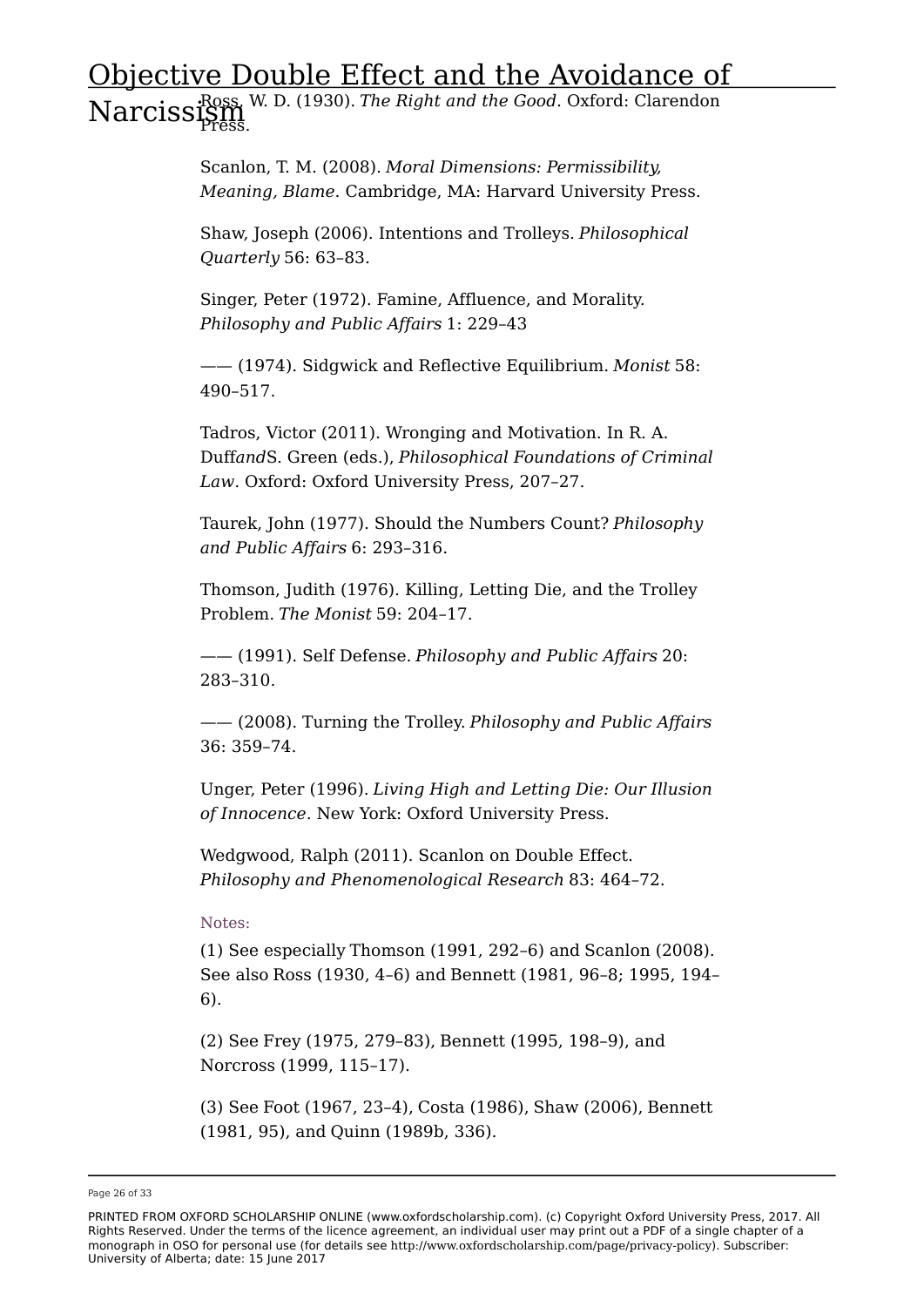#### Objective Double Effect and the Avoidance of Narcissism Ross, W. D. (1930). *The Right and the Good*. Oxford: Clarendon Press.

Scanlon, T. M. (2008). *Moral Dimensions: Permissibility, Meaning, Blame*. Cambridge, MA: Harvard University Press.

Shaw, Joseph (2006). Intentions and Trolleys. *Philosophical Quarterly* 56: 63–83.

Singer, Peter (1972). Famine, Affluence, and Morality. *Philosophy and Public Affairs* 1: 229–43

—— (1974). Sidgwick and Reflective Equilibrium. *Monist* 58: 490–517.

Tadros, Victor (2011). Wronging and Motivation. In R. A. Duff*and*S. Green (eds.), *Philosophical Foundations of Criminal Law*. Oxford: Oxford University Press, 207–27.

Taurek, John (1977). Should the Numbers Count? *Philosophy and Public Affairs* 6: 293–316.

Thomson, Judith (1976). Killing, Letting Die, and the Trolley Problem. *The Monist* 59: 204–17.

—— (1991). Self Defense. *Philosophy and Public Affairs* 20: 283–310.

—— (2008). Turning the Trolley. *Philosophy and Public Affairs* 36: 359–74.

Unger, Peter (1996). *Living High and Letting Die: Our Illusion of Innocence*. New York: Oxford University Press.

Wedgwood, Ralph (2011). Scanlon on Double Effect. *Philosophy and Phenomenological Research* 83: 464–72.

Notes:

(1) See especially Thomson (1991, 292–6) and Scanlon (2008). See also Ross (1930, 4–6) and Bennett (1981, 96–8; 1995, 194– 6).

(2) See Frey (1975, 279–83), Bennett (1995, 198–9), and Norcross (1999, 115–17).

(3) See Foot (1967, 23–4), Costa (1986), Shaw (2006), Bennett (1981, 95), and Quinn (1989b, 336).

Page 26 of 33

PRINTED FROM OXFORD SCHOLARSHIP ONLINE (www.oxfordscholarship.com). (c) Copyright Oxford University Press, 2017. All Rights Reserved. Under the terms of the licence agreement, an individual user may print out a PDF of a single chapter of a monograph in OSO for personal use (for details see http://www.oxfordscholarship.com/page/privacy-policy). Subscriber: University of Alberta; date: 15 June 2017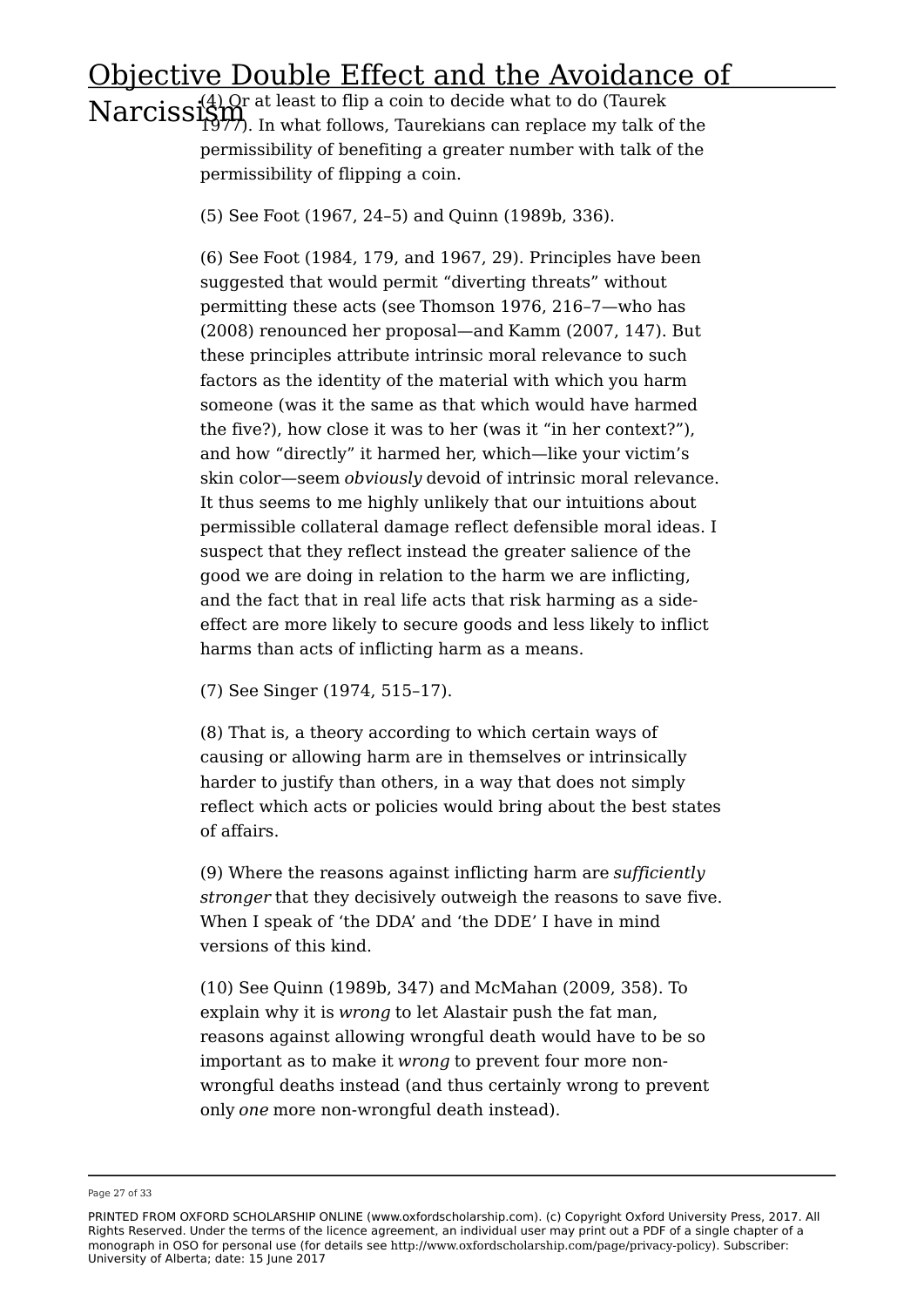$\operatorname{Narcissi}_{\beta}^{(4)}$  Or at least to flip a coin to decide what to do (Taurek  $\operatorname{Narcissi}_{\beta}^{(4)}$  or at least to flip what follows. Taurekians can replace my talk of the 1977). In what follows, Taurekians can replace my talk of the permissibility of benefiting a greater number with talk of the permissibility of flipping a coin.

(5) See Foot (1967, 24–5) and Quinn (1989b, 336).

(6) See Foot (1984, 179, and 1967, 29). Principles have been suggested that would permit "diverting threats" without permitting these acts (see Thomson 1976, 216–7—who has (2008) renounced her proposal—and Kamm (2007, 147). But these principles attribute intrinsic moral relevance to such factors as the identity of the material with which you harm someone (was it the same as that which would have harmed the five?), how close it was to her (was it "in her context?"), and how "directly" it harmed her, which—like your victim's skin color—seem *obviously* devoid of intrinsic moral relevance. It thus seems to me highly unlikely that our intuitions about permissible collateral damage reflect defensible moral ideas. I suspect that they reflect instead the greater salience of the good we are doing in relation to the harm we are inflicting, and the fact that in real life acts that risk harming as a sideeffect are more likely to secure goods and less likely to inflict harms than acts of inflicting harm as a means.

(7) See Singer (1974, 515–17).

(8) That is, a theory according to which certain ways of causing or allowing harm are in themselves or intrinsically harder to justify than others, in a way that does not simply reflect which acts or policies would bring about the best states of affairs.

(9) Where the reasons against inflicting harm are *sufficiently stronger* that they decisively outweigh the reasons to save five. When I speak of 'the DDA' and 'the DDE' I have in mind versions of this kind.

(10) See Quinn (1989b, 347) and McMahan (2009, 358). To explain why it is *wrong* to let Alastair push the fat man, reasons against allowing wrongful death would have to be so important as to make it *wrong* to prevent four more nonwrongful deaths instead (and thus certainly wrong to prevent only *one* more non-wrongful death instead).

Page 27 of 33

PRINTED FROM OXFORD SCHOLARSHIP ONLINE (www.oxfordscholarship.com). (c) Copyright Oxford University Press, 2017. All Rights Reserved. Under the terms of the licence agreement, an individual user may print out a PDF of a single chapter of a monograph in OSO for personal use (for details see http://www.oxfordscholarship.com/page/privacy-policy). Subscriber: University of Alberta; date: 15 June 2017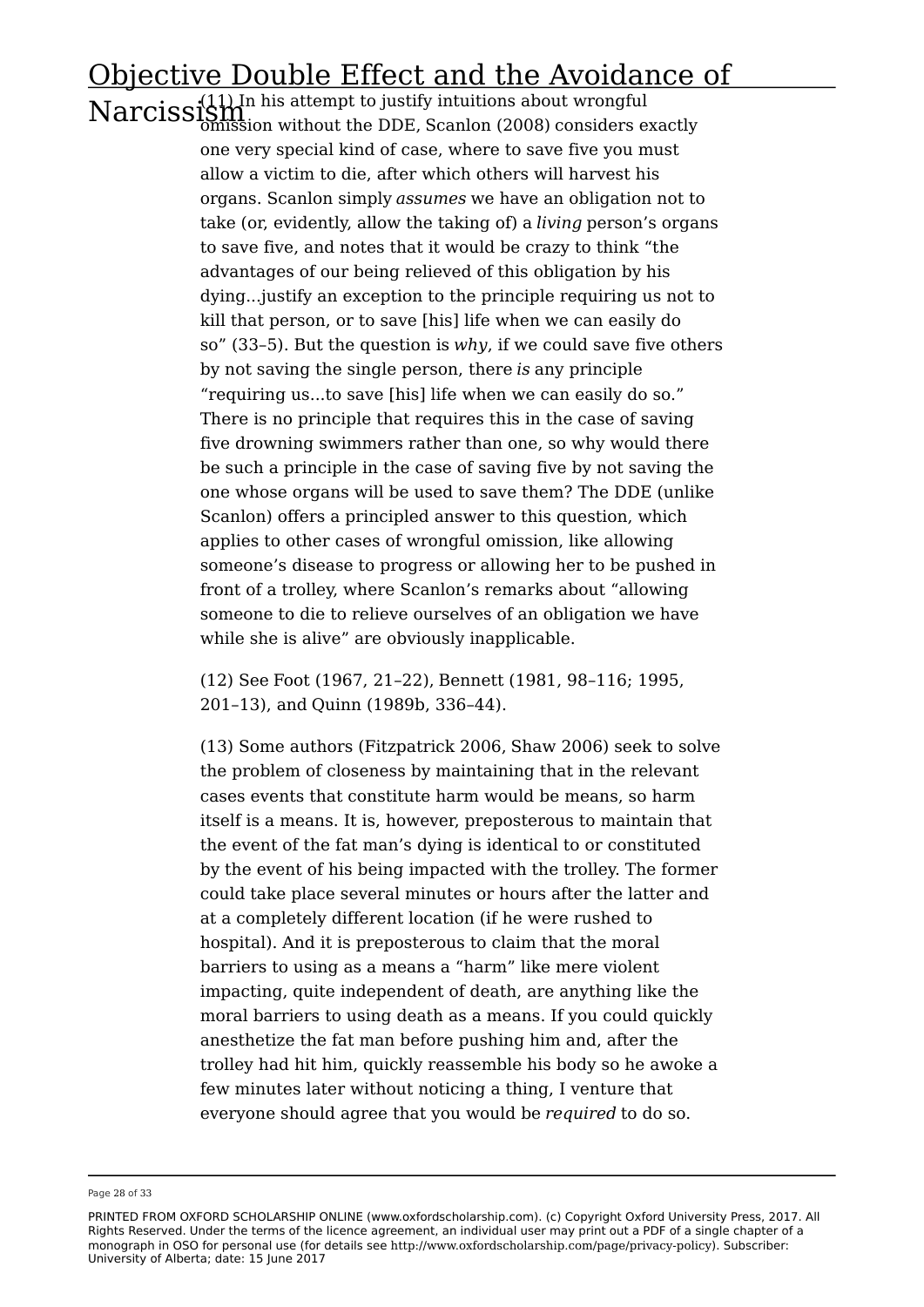$\operatorname{Narcissim}^{(11)}_{\text{sumission without the DDF-Scanlon (2008) considers exactly}}$ omission without the DDE, Scanlon (2008) considers exactly one very special kind of case, where to save five you must allow a victim to die, after which others will harvest his organs. Scanlon simply *assumes* we have an obligation not to take (or, evidently, allow the taking of) a *living* person's organs to save five, and notes that it would be crazy to think "the advantages of our being relieved of this obligation by his dying...justify an exception to the principle requiring us not to kill that person, or to save [his] life when we can easily do so" (33–5). But the question is *why*, if we could save five others by not saving the single person, there *is* any principle "requiring us...to save [his] life when we can easily do so." There is no principle that requires this in the case of saving five drowning swimmers rather than one, so why would there be such a principle in the case of saving five by not saving the one whose organs will be used to save them? The DDE (unlike Scanlon) offers a principled answer to this question, which applies to other cases of wrongful omission, like allowing someone's disease to progress or allowing her to be pushed in front of a trolley, where Scanlon's remarks about "allowing someone to die to relieve ourselves of an obligation we have while she is alive" are obviously inapplicable.

> (12) See Foot (1967, 21–22), Bennett (1981, 98–116; 1995, 201–13), and Quinn (1989b, 336–44).

(13) Some authors (Fitzpatrick 2006, Shaw 2006) seek to solve the problem of closeness by maintaining that in the relevant cases events that constitute harm would be means, so harm itself is a means. It is, however, preposterous to maintain that the event of the fat man's dying is identical to or constituted by the event of his being impacted with the trolley. The former could take place several minutes or hours after the latter and at a completely different location (if he were rushed to hospital). And it is preposterous to claim that the moral barriers to using as a means a "harm" like mere violent impacting, quite independent of death, are anything like the moral barriers to using death as a means. If you could quickly anesthetize the fat man before pushing him and, after the trolley had hit him, quickly reassemble his body so he awoke a few minutes later without noticing a thing, I venture that everyone should agree that you would be *required* to do so.

Page 28 of 33

PRINTED FROM OXFORD SCHOLARSHIP ONLINE (www.oxfordscholarship.com). (c) Copyright Oxford University Press, 2017. All Rights Reserved. Under the terms of the licence agreement, an individual user may print out a PDF of a single chapter of a monograph in OSO for personal use (for details see http://www.oxfordscholarship.com/page/privacy-policy). Subscriber: University of Alberta; date: 15 June 2017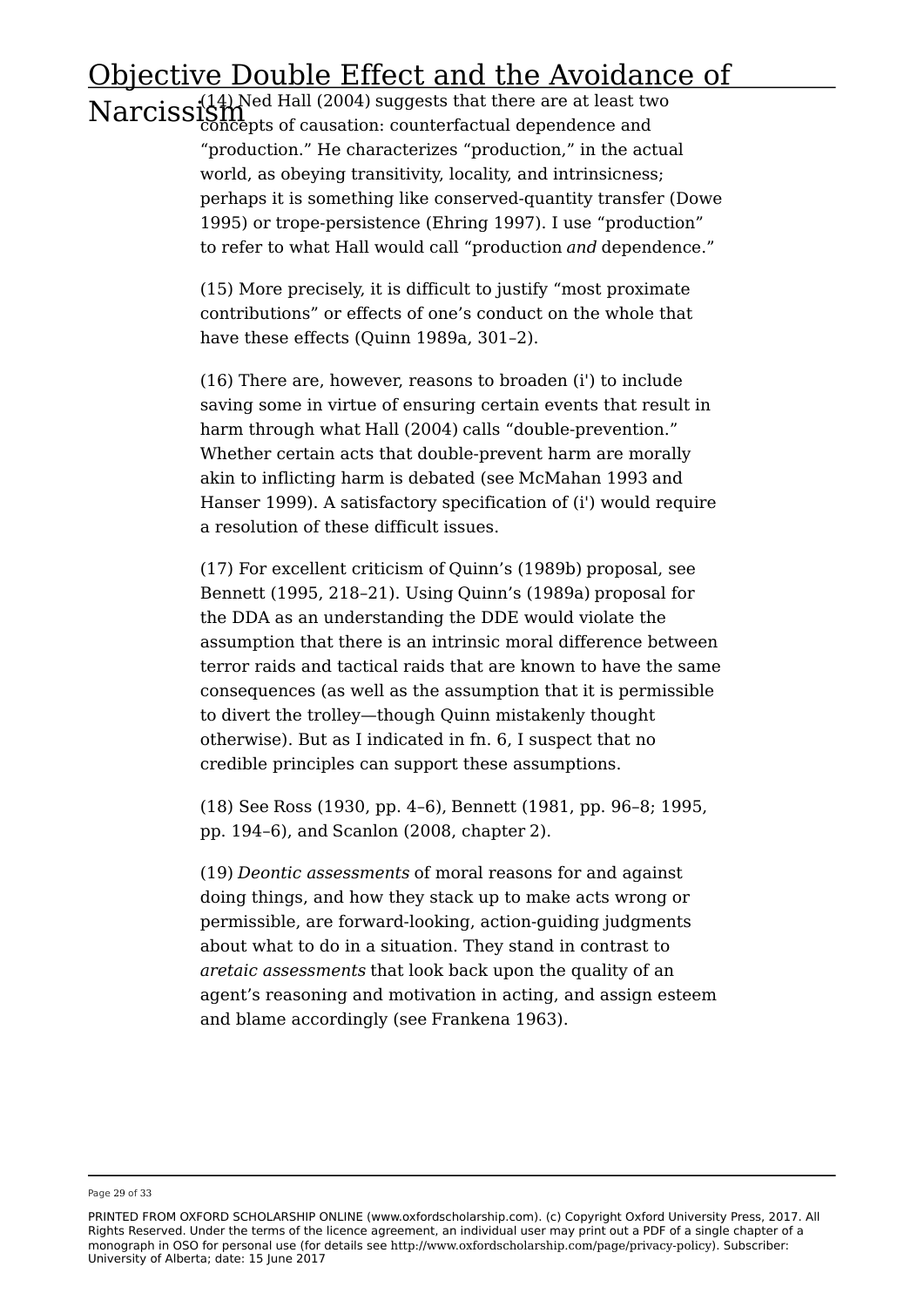$\operatorname{Narcissim}^{(14) \text{Ned Hall (2004) suggests that there are at least two}}_{\text{Carcants of causation: counterfactual dependence and}}$ concepts of causation: counterfactual dependence and "production." He characterizes "production," in the actual world, as obeying transitivity, locality, and intrinsicness; perhaps it is something like conserved-quantity transfer (Dowe 1995) or trope-persistence (Ehring 1997). I use "production" to refer to what Hall would call "production *and* dependence."

> (15) More precisely, it is difficult to justify "most proximate contributions" or effects of one's conduct on the whole that have these effects (Quinn 1989a, 301-2).

(16) There are, however, reasons to broaden (i') to include saving some in virtue of ensuring certain events that result in harm through what Hall (2004) calls "double-prevention." Whether certain acts that double-prevent harm are morally akin to inflicting harm is debated (see McMahan 1993 and Hanser 1999). A satisfactory specification of (i') would require a resolution of these difficult issues.

(17) For excellent criticism of Quinn's (1989b) proposal, see Bennett (1995, 218–21). Using Quinn's (1989a) proposal for the DDA as an understanding the DDE would violate the assumption that there is an intrinsic moral difference between terror raids and tactical raids that are known to have the same consequences (as well as the assumption that it is permissible to divert the trolley—though Quinn mistakenly thought otherwise). But as I indicated in fn. 6, I suspect that no credible principles can support these assumptions.

(18) See Ross (1930, pp. 4–6), Bennett (1981, pp. 96–8; 1995, pp. 194–6), and Scanlon (2008, chapter 2).

(19) *Deontic assessments* of moral reasons for and against doing things, and how they stack up to make acts wrong or permissible, are forward-looking, action-guiding judgments about what to do in a situation. They stand in contrast to *aretaic assessments* that look back upon the quality of an agent's reasoning and motivation in acting, and assign esteem and blame accordingly (see Frankena 1963).

Page 29 of 33

PRINTED FROM OXFORD SCHOLARSHIP ONLINE (www.oxfordscholarship.com). (c) Copyright Oxford University Press, 2017. All Rights Reserved. Under the terms of the licence agreement, an individual user may print out a PDF of a single chapter of a monograph in OSO for personal use (for details see http://www.oxfordscholarship.com/page/privacy-policy). Subscriber: University of Alberta; date: 15 June 2017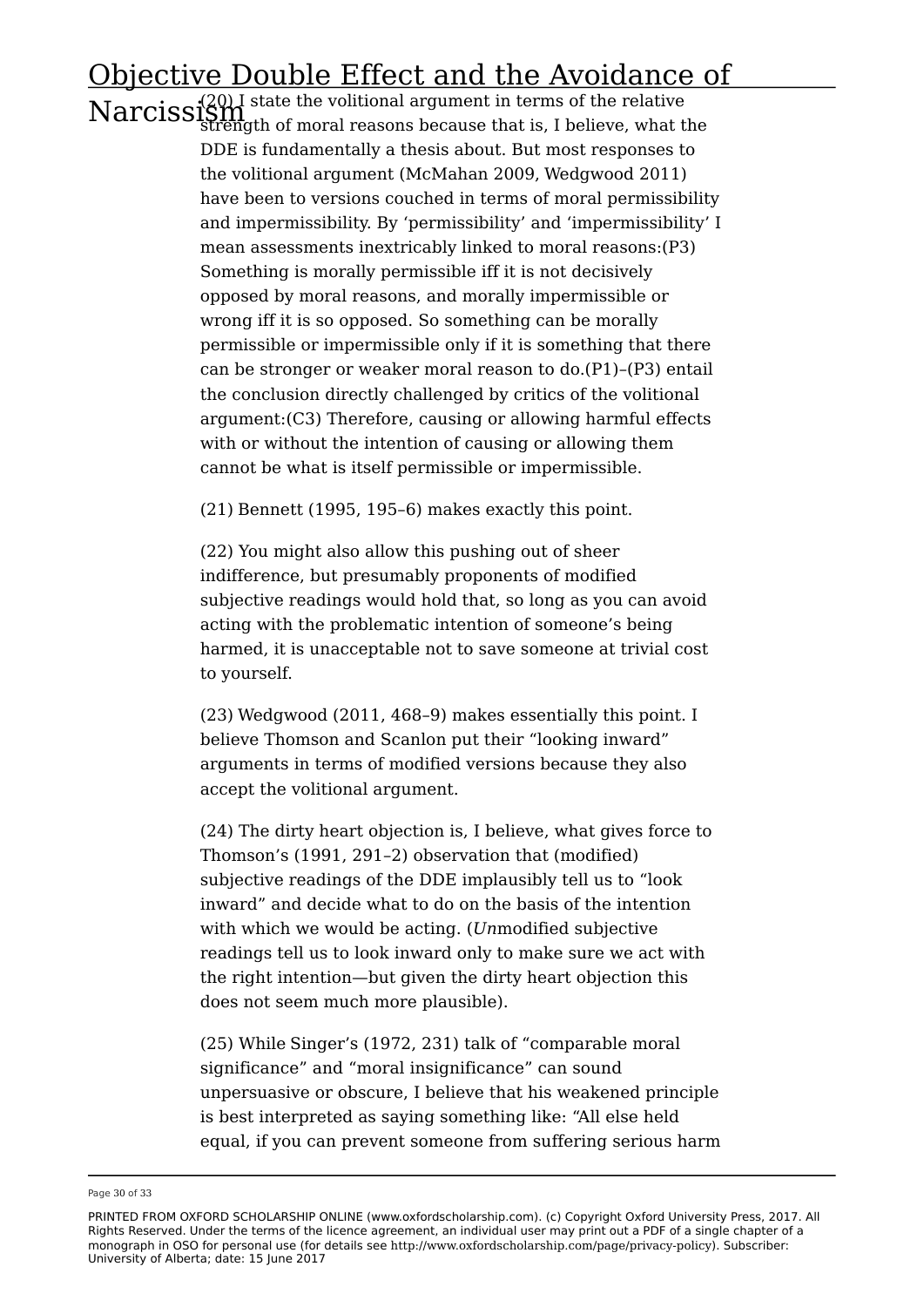$\rm Narcissi_{\rm S}^{(20)~I}$  state the volitional argument in terms of the relative<br> $\rm Narcissi_{\rm S}^{(20)~I}$  state the volitional reasons because that is I believe, what the strength of moral reasons because that is, I believe, what the DDE is fundamentally a thesis about. But most responses to the volitional argument (McMahan 2009, Wedgwood 2011) have been to versions couched in terms of moral permissibility and impermissibility. By 'permissibility' and 'impermissibility' I mean assessments inextricably linked to moral reasons:(P3) Something is morally permissible iff it is not decisively opposed by moral reasons, and morally impermissible or wrong iff it is so opposed. So something can be morally permissible or impermissible only if it is something that there can be stronger or weaker moral reason to do.(P1)–(P3) entail the conclusion directly challenged by critics of the volitional argument:(C3) Therefore, causing or allowing harmful effects with or without the intention of causing or allowing them cannot be what is itself permissible or impermissible.

(21) Bennett (1995, 195–6) makes exactly this point.

(22) You might also allow this pushing out of sheer indifference, but presumably proponents of modified subjective readings would hold that, so long as you can avoid acting with the problematic intention of someone's being harmed, it is unacceptable not to save someone at trivial cost to yourself.

(23) Wedgwood (2011, 468–9) makes essentially this point. I believe Thomson and Scanlon put their "looking inward" arguments in terms of modified versions because they also accept the volitional argument.

(24) The dirty heart objection is, I believe, what gives force to Thomson's (1991, 291–2) observation that (modified) subjective readings of the DDE implausibly tell us to "look inward" and decide what to do on the basis of the intention with which we would be acting. (*Un*modified subjective readings tell us to look inward only to make sure we act with the right intention—but given the dirty heart objection this does not seem much more plausible).

(25) While Singer's (1972, 231) talk of "comparable moral significance" and "moral insignificance" can sound unpersuasive or obscure, I believe that his weakened principle is best interpreted as saying something like: "All else held equal, if you can prevent someone from suffering serious harm

Page 30 of 33

PRINTED FROM OXFORD SCHOLARSHIP ONLINE (www.oxfordscholarship.com). (c) Copyright Oxford University Press, 2017. All Rights Reserved. Under the terms of the licence agreement, an individual user may print out a PDF of a single chapter of a monograph in OSO for personal use (for details see http://www.oxfordscholarship.com/page/privacy-policy). Subscriber: University of Alberta; date: 15 June 2017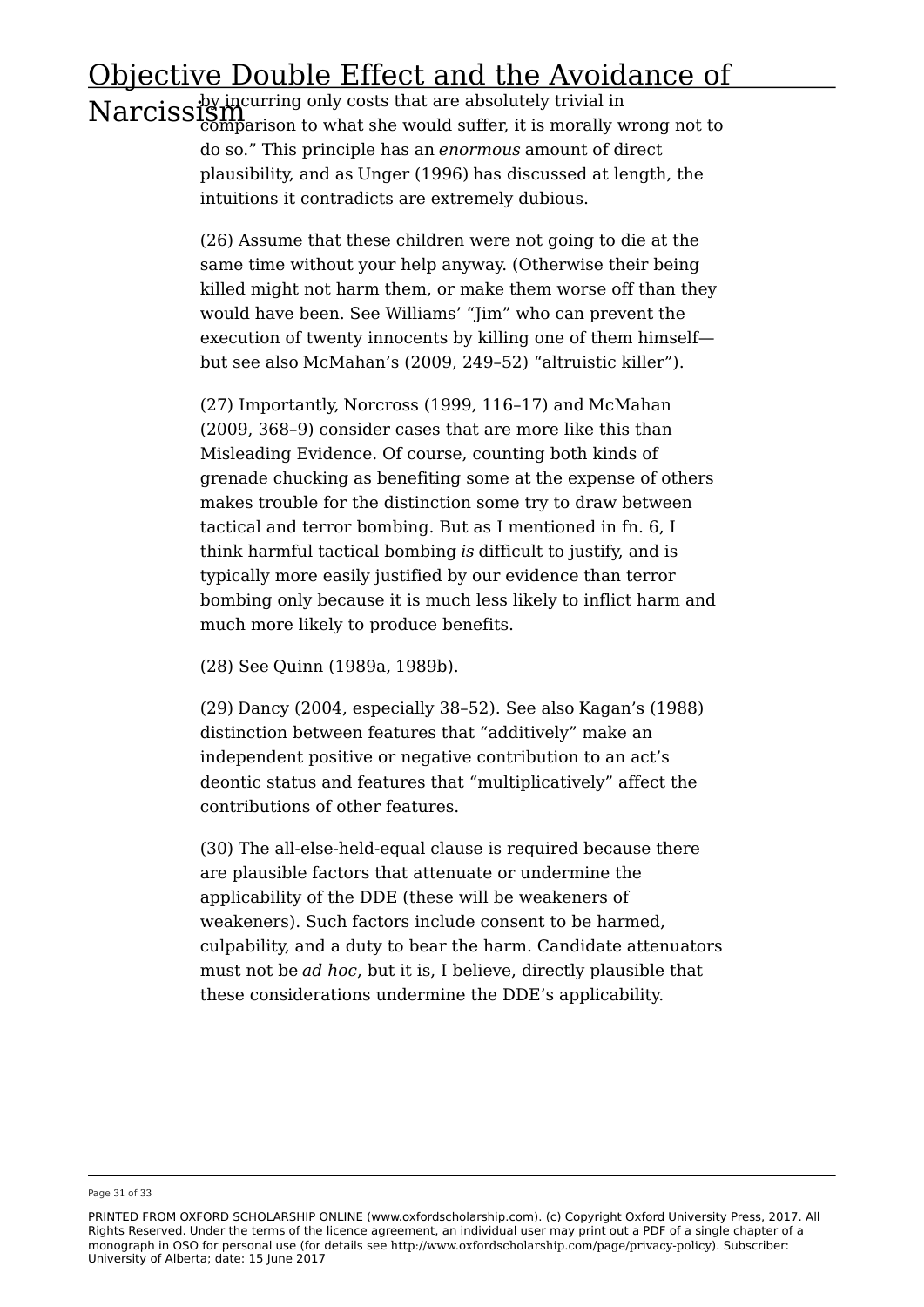$\operatorname{Narcissim}_{\text{comparison}}^{\text{by incurring only costs that are absolutely trivial in}}$ comparison to what she would suffer, it is morally wrong not to do so." This principle has an *enormous* amount of direct plausibility, and as Unger (1996) has discussed at length, the intuitions it contradicts are extremely dubious.

> (26) Assume that these children were not going to die at the same time without your help anyway. (Otherwise their being killed might not harm them, or make them worse off than they would have been. See Williams' "Jim" who can prevent the execution of twenty innocents by killing one of them himself but see also McMahan's (2009, 249–52) "altruistic killer").

> (27) Importantly, Norcross (1999, 116–17) and McMahan (2009, 368–9) consider cases that are more like this than Misleading Evidence. Of course, counting both kinds of grenade chucking as benefiting some at the expense of others makes trouble for the distinction some try to draw between tactical and terror bombing. But as I mentioned in fn. 6, I think harmful tactical bombing *is* difficult to justify, and is typically more easily justified by our evidence than terror bombing only because it is much less likely to inflict harm and much more likely to produce benefits.

(28) See Quinn (1989a, 1989b).

(29) Dancy (2004, especially 38–52). See also Kagan's (1988) distinction between features that "additively" make an independent positive or negative contribution to an act's deontic status and features that "multiplicatively" affect the contributions of other features.

(30) The all-else-held-equal clause is required because there are plausible factors that attenuate or undermine the applicability of the DDE (these will be weakeners of weakeners). Such factors include consent to be harmed, culpability, and a duty to bear the harm. Candidate attenuators must not be *ad hoc*, but it is, I believe, directly plausible that these considerations undermine the DDE's applicability.

Page 31 of 33

PRINTED FROM OXFORD SCHOLARSHIP ONLINE (www.oxfordscholarship.com). (c) Copyright Oxford University Press, 2017. All Rights Reserved. Under the terms of the licence agreement, an individual user may print out a PDF of a single chapter of a monograph in OSO for personal use (for details see http://www.oxfordscholarship.com/page/privacy-policy). Subscriber: University of Alberta; date: 15 June 2017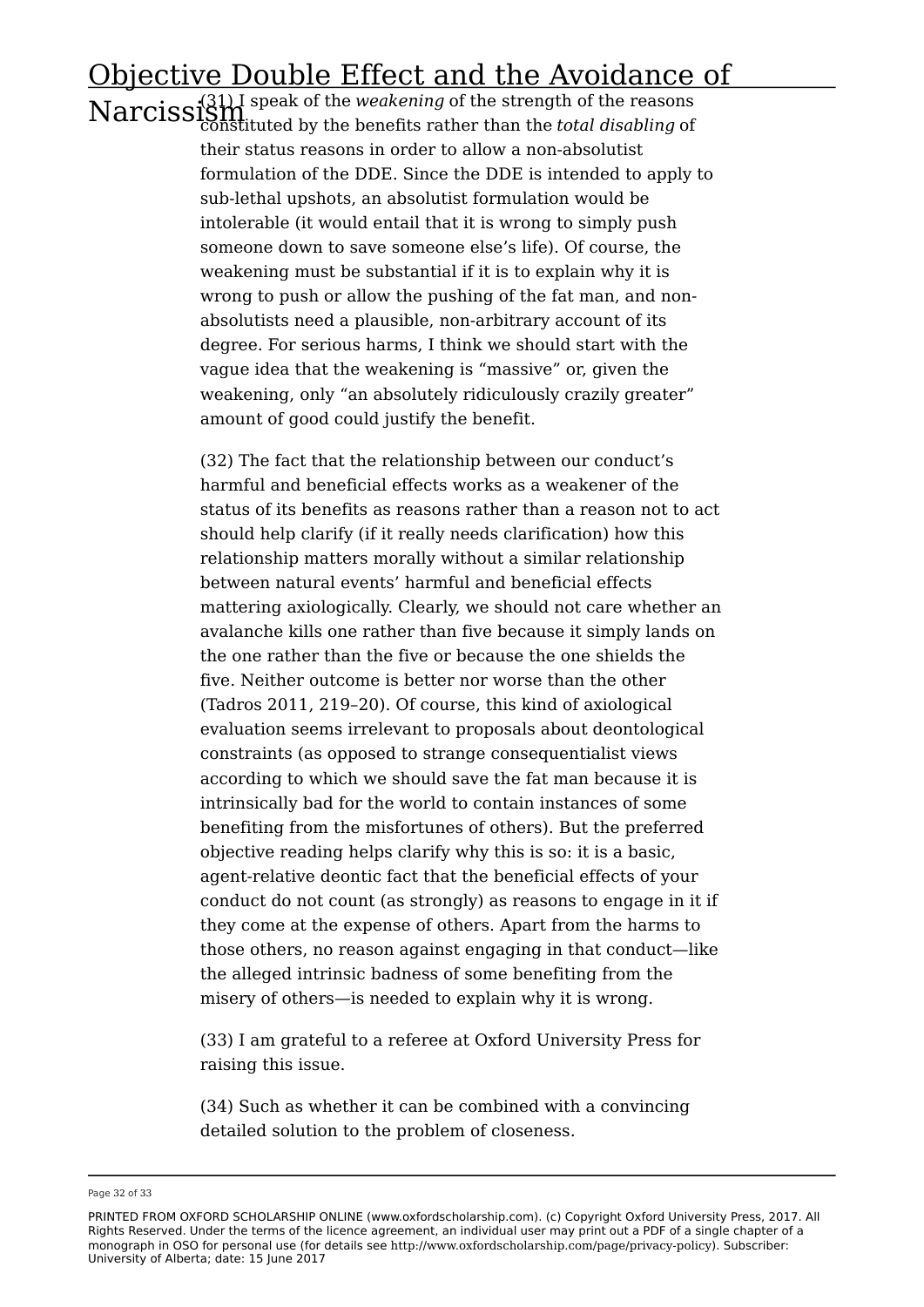$\text{Narcissi}_{\text{S}}^{(31)}$  I speak of the *weakening* of the strength of the reasons<br>Narcissism constituted by the benefits rather than the *total disabling* of their status reasons in order to allow a non-absolutist formulation of the DDE. Since the DDE is intended to apply to sub-lethal upshots, an absolutist formulation would be intolerable (it would entail that it is wrong to simply push someone down to save someone else's life). Of course, the weakening must be substantial if it is to explain why it is wrong to push or allow the pushing of the fat man, and nonabsolutists need a plausible, non-arbitrary account of its degree. For serious harms, I think we should start with the vague idea that the weakening is "massive" or, given the weakening, only "an absolutely ridiculously crazily greater" amount of good could justify the benefit.

> (32) The fact that the relationship between our conduct's harmful and beneficial effects works as a weakener of the status of its benefits as reasons rather than a reason not to act should help clarify (if it really needs clarification) how this relationship matters morally without a similar relationship between natural events' harmful and beneficial effects mattering axiologically. Clearly, we should not care whether an avalanche kills one rather than five because it simply lands on the one rather than the five or because the one shields the five. Neither outcome is better nor worse than the other (Tadros 2011, 219–20). Of course, this kind of axiological evaluation seems irrelevant to proposals about deontological constraints (as opposed to strange consequentialist views according to which we should save the fat man because it is intrinsically bad for the world to contain instances of some benefiting from the misfortunes of others). But the preferred objective reading helps clarify why this is so: it is a basic, agent-relative deontic fact that the beneficial effects of your conduct do not count (as strongly) as reasons to engage in it if they come at the expense of others. Apart from the harms to those others, no reason against engaging in that conduct—like the alleged intrinsic badness of some benefiting from the misery of others—is needed to explain why it is wrong.

(33) I am grateful to a referee at Oxford University Press for raising this issue.

(34) Such as whether it can be combined with a convincing detailed solution to the problem of closeness.

Page 32 of 33

PRINTED FROM OXFORD SCHOLARSHIP ONLINE (www.oxfordscholarship.com). (c) Copyright Oxford University Press, 2017. All Rights Reserved. Under the terms of the licence agreement, an individual user may print out a PDF of a single chapter of a monograph in OSO for personal use (for details see http://www.oxfordscholarship.com/page/privacy-policy). Subscriber: University of Alberta; date: 15 June 2017